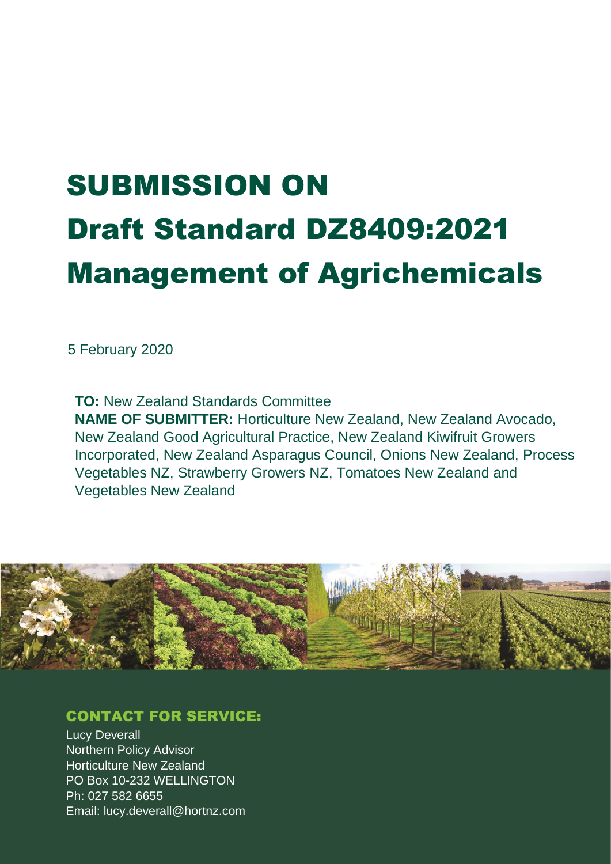# SUBMISSION ON Draft Standard DZ8409:2021 Management of Agrichemicals

5 February 2020

**TO:** New Zealand Standards Committee **NAME OF SUBMITTER:** Horticulture New Zealand, New Zealand Avocado, New Zealand Good Agricultural Practice, New Zealand Kiwifruit Growers Incorporated, New Zealand Asparagus Council, Onions New Zealand, Process Vegetables NZ, Strawberry Growers NZ, Tomatoes New Zealand and Vegetables New Zealand



## CONTACT FOR SERVICE:

Lucy Deverall Northern Policy Advisor Horticulture New Zealand PO Box 10-232 WELLINGTON Ph: 027 582 6655 Email: lucy.deverall@hortnz.com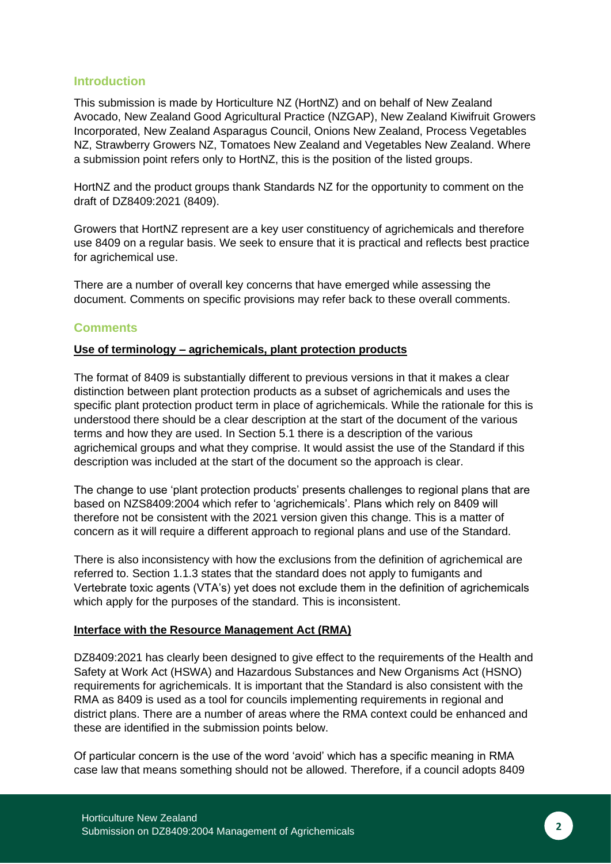#### **Introduction**

This submission is made by Horticulture NZ (HortNZ) and on behalf of New Zealand Avocado, New Zealand Good Agricultural Practice (NZGAP), New Zealand Kiwifruit Growers Incorporated, New Zealand Asparagus Council, Onions New Zealand, Process Vegetables NZ, Strawberry Growers NZ, Tomatoes New Zealand and Vegetables New Zealand. Where a submission point refers only to HortNZ, this is the position of the listed groups.

HortNZ and the product groups thank Standards NZ for the opportunity to comment on the draft of DZ8409:2021 (8409).

Growers that HortNZ represent are a key user constituency of agrichemicals and therefore use 8409 on a regular basis. We seek to ensure that it is practical and reflects best practice for agrichemical use.

There are a number of overall key concerns that have emerged while assessing the document. Comments on specific provisions may refer back to these overall comments.

#### **Comments**

#### **Use of terminology – agrichemicals, plant protection products**

The format of 8409 is substantially different to previous versions in that it makes a clear distinction between plant protection products as a subset of agrichemicals and uses the specific plant protection product term in place of agrichemicals. While the rationale for this is understood there should be a clear description at the start of the document of the various terms and how they are used. In Section 5.1 there is a description of the various agrichemical groups and what they comprise. It would assist the use of the Standard if this description was included at the start of the document so the approach is clear.

The change to use 'plant protection products' presents challenges to regional plans that are based on NZS8409:2004 which refer to 'agrichemicals'. Plans which rely on 8409 will therefore not be consistent with the 2021 version given this change. This is a matter of concern as it will require a different approach to regional plans and use of the Standard.

There is also inconsistency with how the exclusions from the definition of agrichemical are referred to. Section 1.1.3 states that the standard does not apply to fumigants and Vertebrate toxic agents (VTA's) yet does not exclude them in the definition of agrichemicals which apply for the purposes of the standard. This is inconsistent.

#### **Interface with the Resource Management Act (RMA)**

DZ8409:2021 has clearly been designed to give effect to the requirements of the Health and Safety at Work Act (HSWA) and Hazardous Substances and New Organisms Act (HSNO) requirements for agrichemicals. It is important that the Standard is also consistent with the RMA as 8409 is used as a tool for councils implementing requirements in regional and district plans. There are a number of areas where the RMA context could be enhanced and these are identified in the submission points below.

Of particular concern is the use of the word 'avoid' which has a specific meaning in RMA case law that means something should not be allowed. Therefore, if a council adopts 8409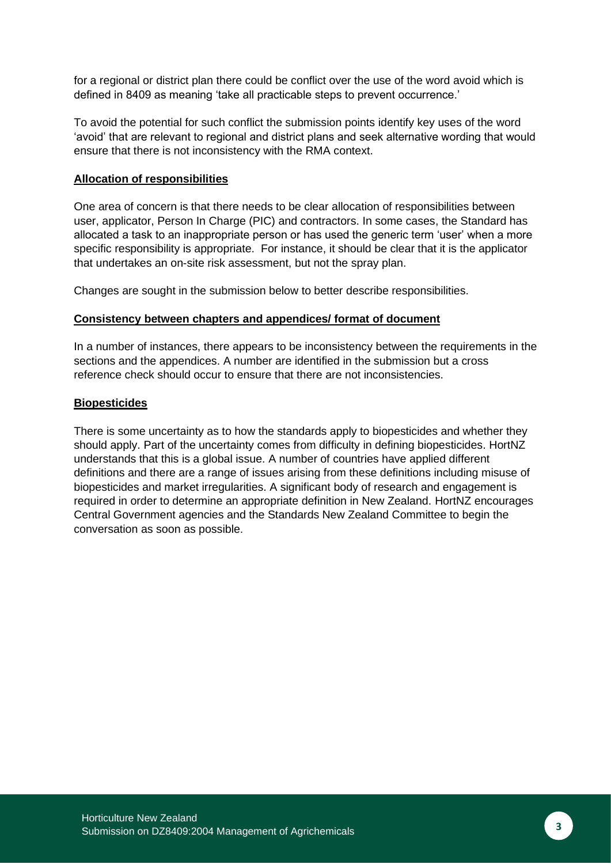for a regional or district plan there could be conflict over the use of the word avoid which is defined in 8409 as meaning 'take all practicable steps to prevent occurrence.'

To avoid the potential for such conflict the submission points identify key uses of the word 'avoid' that are relevant to regional and district plans and seek alternative wording that would ensure that there is not inconsistency with the RMA context.

#### **Allocation of responsibilities**

One area of concern is that there needs to be clear allocation of responsibilities between user, applicator, Person In Charge (PIC) and contractors. In some cases, the Standard has allocated a task to an inappropriate person or has used the generic term 'user' when a more specific responsibility is appropriate. For instance, it should be clear that it is the applicator that undertakes an on-site risk assessment, but not the spray plan.

Changes are sought in the submission below to better describe responsibilities.

#### **Consistency between chapters and appendices/ format of document**

In a number of instances, there appears to be inconsistency between the requirements in the sections and the appendices. A number are identified in the submission but a cross reference check should occur to ensure that there are not inconsistencies.

#### **Biopesticides**

There is some uncertainty as to how the standards apply to biopesticides and whether they should apply. Part of the uncertainty comes from difficulty in defining biopesticides. HortNZ understands that this is a global issue. A number of countries have applied different definitions and there are a range of issues arising from these definitions including misuse of biopesticides and market irregularities. A significant body of research and engagement is required in order to determine an appropriate definition in New Zealand. HortNZ encourages Central Government agencies and the Standards New Zealand Committee to begin the conversation as soon as possible.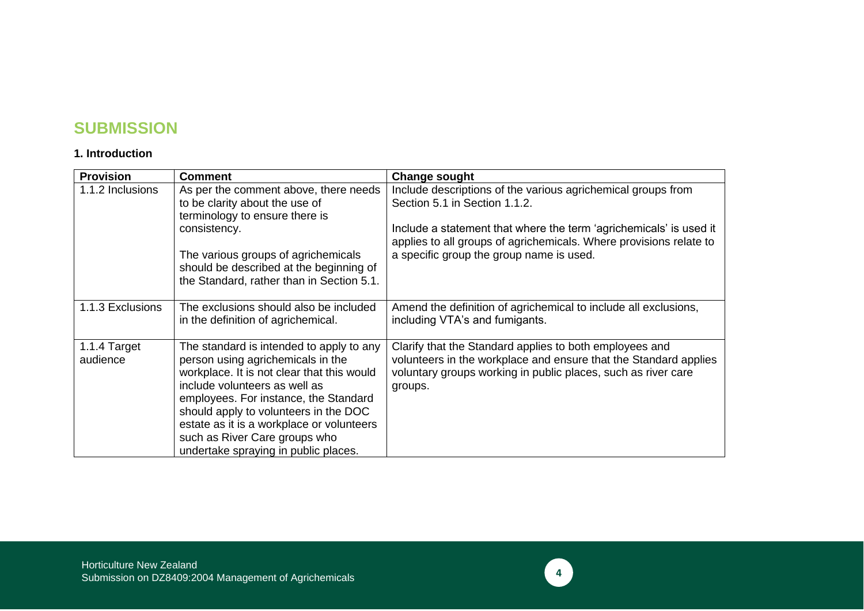## **SUBMISSION**

#### **1. Introduction**

| <b>Provision</b>         | <b>Comment</b>                                                                                                                                                                                                                                                                                                                                                       | <b>Change sought</b>                                                                                                                                                                                    |
|--------------------------|----------------------------------------------------------------------------------------------------------------------------------------------------------------------------------------------------------------------------------------------------------------------------------------------------------------------------------------------------------------------|---------------------------------------------------------------------------------------------------------------------------------------------------------------------------------------------------------|
| 1.1.2 Inclusions         | As per the comment above, there needs<br>to be clarity about the use of<br>terminology to ensure there is                                                                                                                                                                                                                                                            | Include descriptions of the various agrichemical groups from<br>Section 5.1 in Section 1.1.2.                                                                                                           |
|                          | consistency.                                                                                                                                                                                                                                                                                                                                                         | Include a statement that where the term 'agrichemicals' is used it<br>applies to all groups of agrichemicals. Where provisions relate to                                                                |
|                          | The various groups of agrichemicals<br>should be described at the beginning of<br>the Standard, rather than in Section 5.1.                                                                                                                                                                                                                                          | a specific group the group name is used.                                                                                                                                                                |
| 1.1.3 Exclusions         | The exclusions should also be included<br>in the definition of agrichemical.                                                                                                                                                                                                                                                                                         | Amend the definition of agrichemical to include all exclusions,<br>including VTA's and fumigants.                                                                                                       |
| 1.1.4 Target<br>audience | The standard is intended to apply to any<br>person using agrichemicals in the<br>workplace. It is not clear that this would<br>include volunteers as well as<br>employees. For instance, the Standard<br>should apply to volunteers in the DOC<br>estate as it is a workplace or volunteers<br>such as River Care groups who<br>undertake spraying in public places. | Clarify that the Standard applies to both employees and<br>volunteers in the workplace and ensure that the Standard applies<br>voluntary groups working in public places, such as river care<br>groups. |

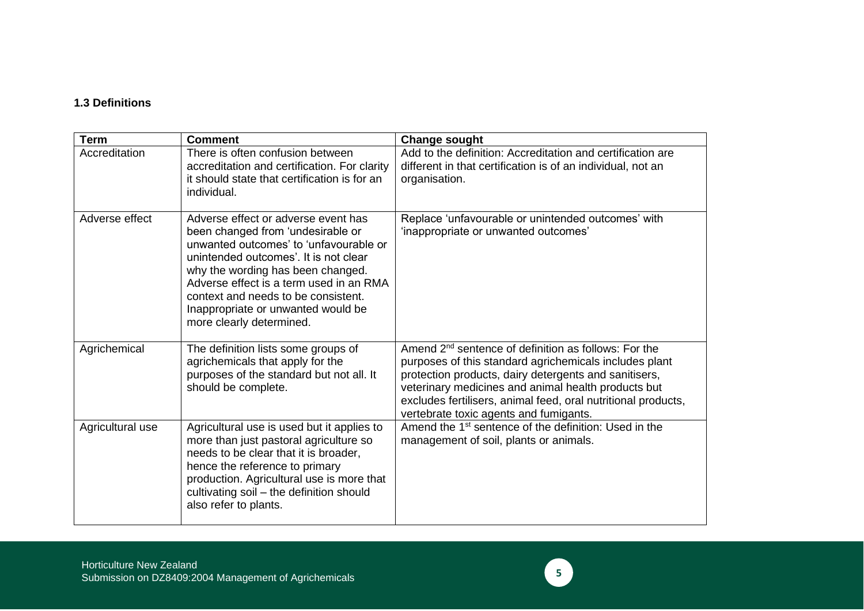#### **1.3 Definitions**

| <b>Term</b>      | <b>Comment</b>                                                                                                                                                                                                                                                                                                                                       | <b>Change sought</b>                                                                                                                                                                                                                                                                                                                                  |
|------------------|------------------------------------------------------------------------------------------------------------------------------------------------------------------------------------------------------------------------------------------------------------------------------------------------------------------------------------------------------|-------------------------------------------------------------------------------------------------------------------------------------------------------------------------------------------------------------------------------------------------------------------------------------------------------------------------------------------------------|
| Accreditation    | There is often confusion between<br>accreditation and certification. For clarity<br>it should state that certification is for an<br>individual.                                                                                                                                                                                                      | Add to the definition: Accreditation and certification are<br>different in that certification is of an individual, not an<br>organisation.                                                                                                                                                                                                            |
| Adverse effect   | Adverse effect or adverse event has<br>been changed from 'undesirable or<br>unwanted outcomes' to 'unfavourable or<br>unintended outcomes'. It is not clear<br>why the wording has been changed.<br>Adverse effect is a term used in an RMA<br>context and needs to be consistent.<br>Inappropriate or unwanted would be<br>more clearly determined. | Replace 'unfavourable or unintended outcomes' with<br>'inappropriate or unwanted outcomes'                                                                                                                                                                                                                                                            |
| Agrichemical     | The definition lists some groups of<br>agrichemicals that apply for the<br>purposes of the standard but not all. It<br>should be complete.                                                                                                                                                                                                           | Amend 2 <sup>nd</sup> sentence of definition as follows: For the<br>purposes of this standard agrichemicals includes plant<br>protection products, dairy detergents and sanitisers,<br>veterinary medicines and animal health products but<br>excludes fertilisers, animal feed, oral nutritional products,<br>vertebrate toxic agents and fumigants. |
| Agricultural use | Agricultural use is used but it applies to<br>more than just pastoral agriculture so<br>needs to be clear that it is broader,<br>hence the reference to primary<br>production. Agricultural use is more that<br>cultivating soil - the definition should<br>also refer to plants.                                                                    | Amend the 1 <sup>st</sup> sentence of the definition: Used in the<br>management of soil, plants or animals.                                                                                                                                                                                                                                           |

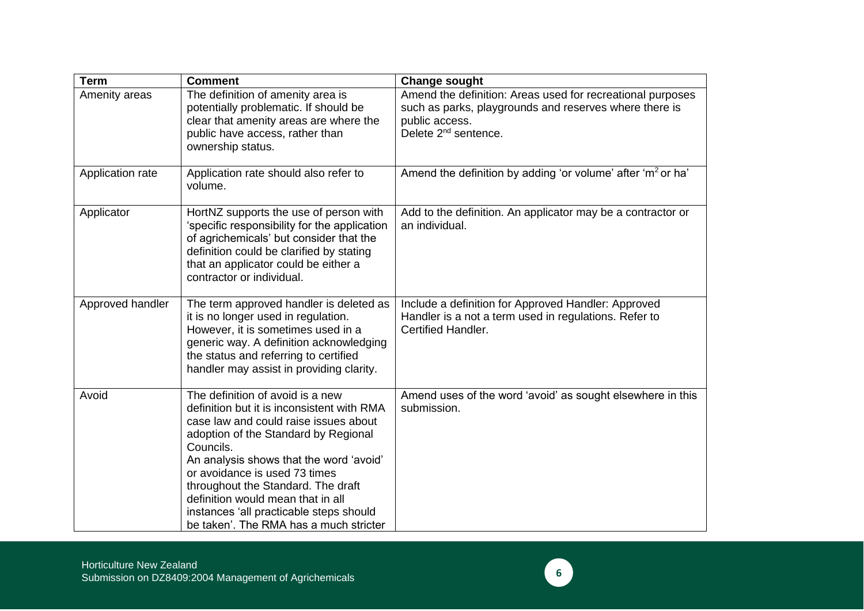| <b>Term</b>      | <b>Comment</b>                                                                                                                                                                                                                                                                                                                                                                                                           | <b>Change sought</b>                                                                                                                                                       |
|------------------|--------------------------------------------------------------------------------------------------------------------------------------------------------------------------------------------------------------------------------------------------------------------------------------------------------------------------------------------------------------------------------------------------------------------------|----------------------------------------------------------------------------------------------------------------------------------------------------------------------------|
| Amenity areas    | The definition of amenity area is<br>potentially problematic. If should be<br>clear that amenity areas are where the<br>public have access, rather than<br>ownership status.                                                                                                                                                                                                                                             | Amend the definition: Areas used for recreational purposes<br>such as parks, playgrounds and reserves where there is<br>public access.<br>Delete 2 <sup>nd</sup> sentence. |
| Application rate | Application rate should also refer to<br>volume.                                                                                                                                                                                                                                                                                                                                                                         | Amend the definition by adding 'or volume' after 'm <sup>2</sup> or ha'                                                                                                    |
| Applicator       | HortNZ supports the use of person with<br>'specific responsibility for the application<br>of agrichemicals' but consider that the<br>definition could be clarified by stating<br>that an applicator could be either a<br>contractor or individual.                                                                                                                                                                       | Add to the definition. An applicator may be a contractor or<br>an individual.                                                                                              |
| Approved handler | The term approved handler is deleted as<br>it is no longer used in regulation.<br>However, it is sometimes used in a<br>generic way. A definition acknowledging<br>the status and referring to certified<br>handler may assist in providing clarity.                                                                                                                                                                     | Include a definition for Approved Handler: Approved<br>Handler is a not a term used in regulations. Refer to<br><b>Certified Handler.</b>                                  |
| Avoid            | The definition of avoid is a new<br>definition but it is inconsistent with RMA<br>case law and could raise issues about<br>adoption of the Standard by Regional<br>Councils.<br>An analysis shows that the word 'avoid'<br>or avoidance is used 73 times<br>throughout the Standard. The draft<br>definition would mean that in all<br>instances 'all practicable steps should<br>be taken'. The RMA has a much stricter | Amend uses of the word 'avoid' as sought elsewhere in this<br>submission.                                                                                                  |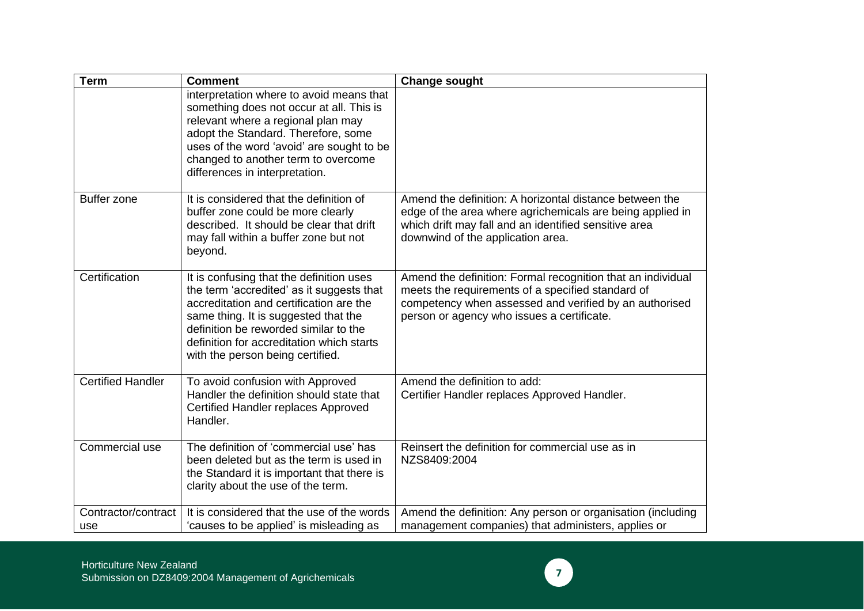| <b>Term</b>                | <b>Comment</b>                                                                                                                                                                                                                                                                                     | <b>Change sought</b>                                                                                                                                                                                                     |
|----------------------------|----------------------------------------------------------------------------------------------------------------------------------------------------------------------------------------------------------------------------------------------------------------------------------------------------|--------------------------------------------------------------------------------------------------------------------------------------------------------------------------------------------------------------------------|
|                            | interpretation where to avoid means that<br>something does not occur at all. This is<br>relevant where a regional plan may<br>adopt the Standard. Therefore, some<br>uses of the word 'avoid' are sought to be<br>changed to another term to overcome<br>differences in interpretation.            |                                                                                                                                                                                                                          |
| <b>Buffer zone</b>         | It is considered that the definition of<br>buffer zone could be more clearly<br>described. It should be clear that drift<br>may fall within a buffer zone but not<br>beyond.                                                                                                                       | Amend the definition: A horizontal distance between the<br>edge of the area where agrichemicals are being applied in<br>which drift may fall and an identified sensitive area<br>downwind of the application area.       |
| Certification              | It is confusing that the definition uses<br>the term 'accredited' as it suggests that<br>accreditation and certification are the<br>same thing. It is suggested that the<br>definition be reworded similar to the<br>definition for accreditation which starts<br>with the person being certified. | Amend the definition: Formal recognition that an individual<br>meets the requirements of a specified standard of<br>competency when assessed and verified by an authorised<br>person or agency who issues a certificate. |
| <b>Certified Handler</b>   | To avoid confusion with Approved<br>Handler the definition should state that<br>Certified Handler replaces Approved<br>Handler.                                                                                                                                                                    | Amend the definition to add:<br>Certifier Handler replaces Approved Handler.                                                                                                                                             |
| Commercial use             | The definition of 'commercial use' has<br>been deleted but as the term is used in<br>the Standard it is important that there is<br>clarity about the use of the term.                                                                                                                              | Reinsert the definition for commercial use as in<br>NZS8409:2004                                                                                                                                                         |
| Contractor/contract<br>use | It is considered that the use of the words<br>'causes to be applied' is misleading as                                                                                                                                                                                                              | Amend the definition: Any person or organisation (including<br>management companies) that administers, applies or                                                                                                        |

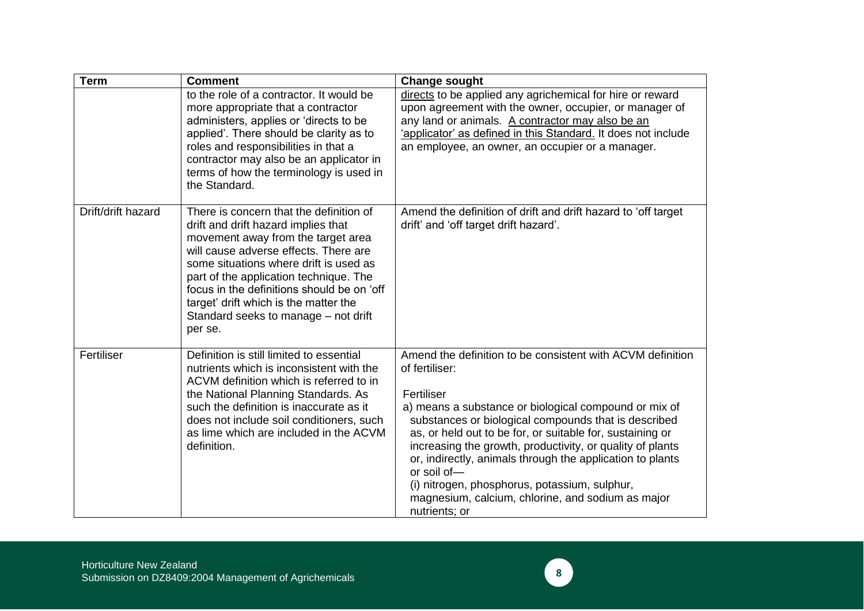| <b>Term</b>        | <b>Comment</b>                                                                                                                                                                                                                                                                                                                                                                              | <b>Change sought</b>                                                                                                                                                                                                                                                                                                                                                                                                                                                                                                                     |
|--------------------|---------------------------------------------------------------------------------------------------------------------------------------------------------------------------------------------------------------------------------------------------------------------------------------------------------------------------------------------------------------------------------------------|------------------------------------------------------------------------------------------------------------------------------------------------------------------------------------------------------------------------------------------------------------------------------------------------------------------------------------------------------------------------------------------------------------------------------------------------------------------------------------------------------------------------------------------|
|                    | to the role of a contractor. It would be<br>more appropriate that a contractor<br>administers, applies or 'directs to be<br>applied'. There should be clarity as to<br>roles and responsibilities in that a<br>contractor may also be an applicator in<br>terms of how the terminology is used in<br>the Standard.                                                                          | directs to be applied any agrichemical for hire or reward<br>upon agreement with the owner, occupier, or manager of<br>any land or animals. A contractor may also be an<br>'applicator' as defined in this Standard. It does not include<br>an employee, an owner, an occupier or a manager.                                                                                                                                                                                                                                             |
| Drift/drift hazard | There is concern that the definition of<br>drift and drift hazard implies that<br>movement away from the target area<br>will cause adverse effects. There are<br>some situations where drift is used as<br>part of the application technique. The<br>focus in the definitions should be on 'off<br>target' drift which is the matter the<br>Standard seeks to manage - not drift<br>per se. | Amend the definition of drift and drift hazard to 'off target<br>drift' and 'off target drift hazard'.                                                                                                                                                                                                                                                                                                                                                                                                                                   |
| Fertiliser         | Definition is still limited to essential<br>nutrients which is inconsistent with the<br>ACVM definition which is referred to in<br>the National Planning Standards. As<br>such the definition is inaccurate as it<br>does not include soil conditioners, such<br>as lime which are included in the ACVM<br>definition.                                                                      | Amend the definition to be consistent with ACVM definition<br>of fertiliser:<br>Fertiliser<br>a) means a substance or biological compound or mix of<br>substances or biological compounds that is described<br>as, or held out to be for, or suitable for, sustaining or<br>increasing the growth, productivity, or quality of plants<br>or, indirectly, animals through the application to plants<br>or soil of-<br>(i) nitrogen, phosphorus, potassium, sulphur,<br>magnesium, calcium, chlorine, and sodium as major<br>nutrients; or |

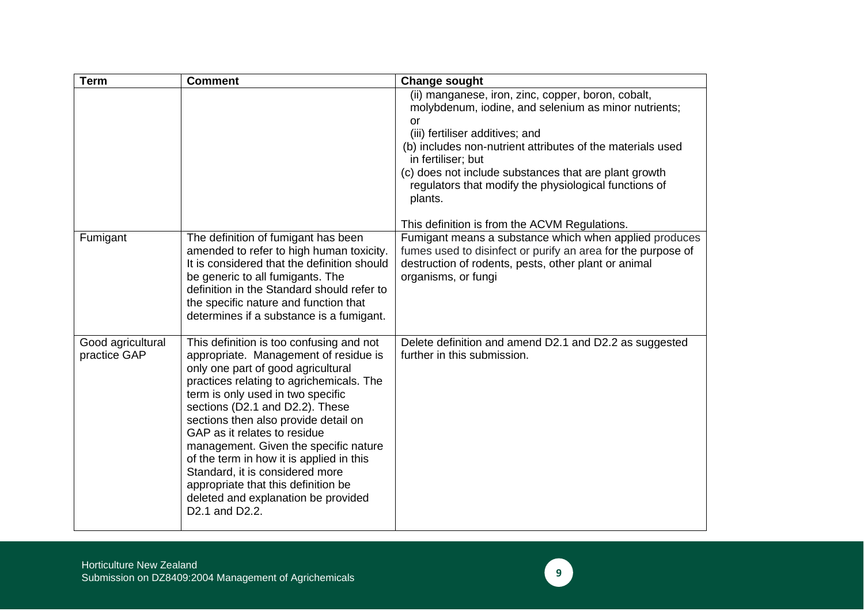| <b>Term</b>                       | <b>Comment</b>                                                                                                                                                                                                                                                                                                                                                                                                                                                                                                                              | <b>Change sought</b>                                                                                                                                                                                                                                                                                                                                                 |
|-----------------------------------|---------------------------------------------------------------------------------------------------------------------------------------------------------------------------------------------------------------------------------------------------------------------------------------------------------------------------------------------------------------------------------------------------------------------------------------------------------------------------------------------------------------------------------------------|----------------------------------------------------------------------------------------------------------------------------------------------------------------------------------------------------------------------------------------------------------------------------------------------------------------------------------------------------------------------|
|                                   |                                                                                                                                                                                                                                                                                                                                                                                                                                                                                                                                             | (ii) manganese, iron, zinc, copper, boron, cobalt,<br>molybdenum, iodine, and selenium as minor nutrients;<br>or<br>(iii) fertiliser additives; and<br>(b) includes non-nutrient attributes of the materials used<br>in fertiliser; but<br>(c) does not include substances that are plant growth<br>regulators that modify the physiological functions of<br>plants. |
|                                   |                                                                                                                                                                                                                                                                                                                                                                                                                                                                                                                                             | This definition is from the ACVM Regulations.                                                                                                                                                                                                                                                                                                                        |
| Fumigant                          | The definition of fumigant has been<br>amended to refer to high human toxicity.<br>It is considered that the definition should<br>be generic to all fumigants. The<br>definition in the Standard should refer to<br>the specific nature and function that<br>determines if a substance is a fumigant.                                                                                                                                                                                                                                       | Fumigant means a substance which when applied produces<br>fumes used to disinfect or purify an area for the purpose of<br>destruction of rodents, pests, other plant or animal<br>organisms, or fungi                                                                                                                                                                |
| Good agricultural<br>practice GAP | This definition is too confusing and not<br>appropriate. Management of residue is<br>only one part of good agricultural<br>practices relating to agrichemicals. The<br>term is only used in two specific<br>sections (D2.1 and D2.2). These<br>sections then also provide detail on<br>GAP as it relates to residue<br>management. Given the specific nature<br>of the term in how it is applied in this<br>Standard, it is considered more<br>appropriate that this definition be<br>deleted and explanation be provided<br>D2.1 and D2.2. | Delete definition and amend D2.1 and D2.2 as suggested<br>further in this submission.                                                                                                                                                                                                                                                                                |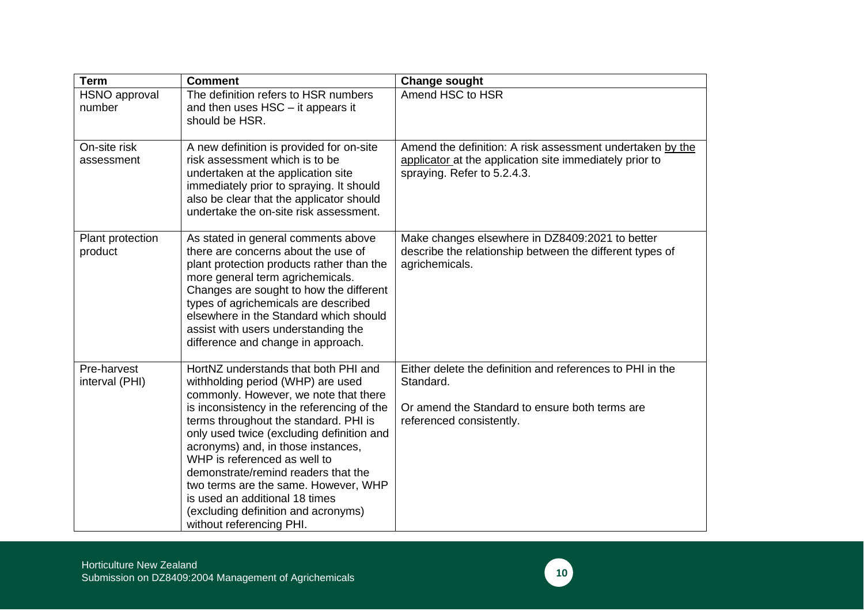| <b>Term</b>                   | <b>Comment</b>                                                                                                                                                                                                                                                                                                                                                                                                                                                                                                   | <b>Change sought</b>                                                                                                                                 |
|-------------------------------|------------------------------------------------------------------------------------------------------------------------------------------------------------------------------------------------------------------------------------------------------------------------------------------------------------------------------------------------------------------------------------------------------------------------------------------------------------------------------------------------------------------|------------------------------------------------------------------------------------------------------------------------------------------------------|
| HSNO approval<br>number       | The definition refers to HSR numbers<br>and then uses HSC - it appears it<br>should be HSR.                                                                                                                                                                                                                                                                                                                                                                                                                      | Amend HSC to HSR                                                                                                                                     |
| On-site risk<br>assessment    | A new definition is provided for on-site<br>risk assessment which is to be<br>undertaken at the application site<br>immediately prior to spraying. It should<br>also be clear that the applicator should<br>undertake the on-site risk assessment.                                                                                                                                                                                                                                                               | Amend the definition: A risk assessment undertaken by the<br>applicator at the application site immediately prior to<br>spraying. Refer to 5.2.4.3.  |
| Plant protection<br>product   | As stated in general comments above<br>there are concerns about the use of<br>plant protection products rather than the<br>more general term agrichemicals.<br>Changes are sought to how the different<br>types of agrichemicals are described<br>elsewhere in the Standard which should<br>assist with users understanding the<br>difference and change in approach.                                                                                                                                            | Make changes elsewhere in DZ8409:2021 to better<br>describe the relationship between the different types of<br>agrichemicals.                        |
| Pre-harvest<br>interval (PHI) | HortNZ understands that both PHI and<br>withholding period (WHP) are used<br>commonly. However, we note that there<br>is inconsistency in the referencing of the<br>terms throughout the standard. PHI is<br>only used twice (excluding definition and<br>acronyms) and, in those instances,<br>WHP is referenced as well to<br>demonstrate/remind readers that the<br>two terms are the same. However, WHP<br>is used an additional 18 times<br>(excluding definition and acronyms)<br>without referencing PHI. | Either delete the definition and references to PHI in the<br>Standard.<br>Or amend the Standard to ensure both terms are<br>referenced consistently. |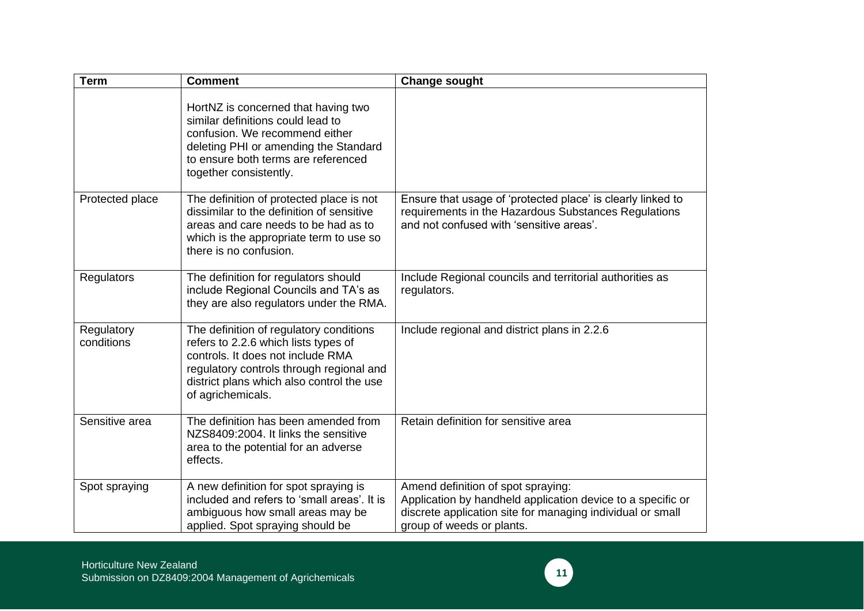| <b>Term</b>              | <b>Comment</b>                                                                                                                                                                                                                     | <b>Change sought</b>                                                                                                                                                                         |
|--------------------------|------------------------------------------------------------------------------------------------------------------------------------------------------------------------------------------------------------------------------------|----------------------------------------------------------------------------------------------------------------------------------------------------------------------------------------------|
|                          | HortNZ is concerned that having two<br>similar definitions could lead to<br>confusion. We recommend either<br>deleting PHI or amending the Standard<br>to ensure both terms are referenced<br>together consistently.               |                                                                                                                                                                                              |
| Protected place          | The definition of protected place is not<br>dissimilar to the definition of sensitive<br>areas and care needs to be had as to<br>which is the appropriate term to use so<br>there is no confusion.                                 | Ensure that usage of 'protected place' is clearly linked to<br>requirements in the Hazardous Substances Regulations<br>and not confused with 'sensitive areas'.                              |
| Regulators               | The definition for regulators should<br>include Regional Councils and TA's as<br>they are also regulators under the RMA.                                                                                                           | Include Regional councils and territorial authorities as<br>regulators.                                                                                                                      |
| Regulatory<br>conditions | The definition of regulatory conditions<br>refers to 2.2.6 which lists types of<br>controls. It does not include RMA<br>regulatory controls through regional and<br>district plans which also control the use<br>of agrichemicals. | Include regional and district plans in 2.2.6                                                                                                                                                 |
| Sensitive area           | The definition has been amended from<br>NZS8409:2004. It links the sensitive<br>area to the potential for an adverse<br>effects.                                                                                                   | Retain definition for sensitive area                                                                                                                                                         |
| Spot spraying            | A new definition for spot spraying is<br>included and refers to 'small areas'. It is<br>ambiguous how small areas may be<br>applied. Spot spraying should be                                                                       | Amend definition of spot spraying:<br>Application by handheld application device to a specific or<br>discrete application site for managing individual or small<br>group of weeds or plants. |

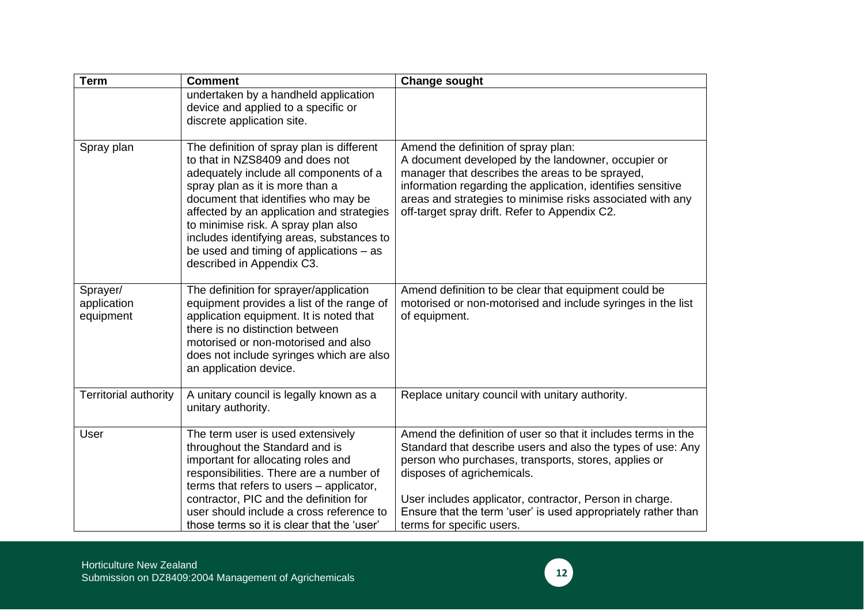| <b>Term</b>                          | <b>Comment</b>                                                                                                                                                                                                                                                                                                                                                                                              | <b>Change sought</b>                                                                                                                                                                                                                                                                                                                                                        |
|--------------------------------------|-------------------------------------------------------------------------------------------------------------------------------------------------------------------------------------------------------------------------------------------------------------------------------------------------------------------------------------------------------------------------------------------------------------|-----------------------------------------------------------------------------------------------------------------------------------------------------------------------------------------------------------------------------------------------------------------------------------------------------------------------------------------------------------------------------|
|                                      | undertaken by a handheld application<br>device and applied to a specific or<br>discrete application site.                                                                                                                                                                                                                                                                                                   |                                                                                                                                                                                                                                                                                                                                                                             |
| Spray plan                           | The definition of spray plan is different<br>to that in NZS8409 and does not<br>adequately include all components of a<br>spray plan as it is more than a<br>document that identifies who may be<br>affected by an application and strategies<br>to minimise risk. A spray plan also<br>includes identifying areas, substances to<br>be used and timing of applications $-$ as<br>described in Appendix C3. | Amend the definition of spray plan:<br>A document developed by the landowner, occupier or<br>manager that describes the areas to be sprayed,<br>information regarding the application, identifies sensitive<br>areas and strategies to minimise risks associated with any<br>off-target spray drift. Refer to Appendix C2.                                                  |
| Sprayer/<br>application<br>equipment | The definition for sprayer/application<br>equipment provides a list of the range of<br>application equipment. It is noted that<br>there is no distinction between<br>motorised or non-motorised and also<br>does not include syringes which are also<br>an application device.                                                                                                                              | Amend definition to be clear that equipment could be<br>motorised or non-motorised and include syringes in the list<br>of equipment.                                                                                                                                                                                                                                        |
| <b>Territorial authority</b>         | A unitary council is legally known as a<br>unitary authority.                                                                                                                                                                                                                                                                                                                                               | Replace unitary council with unitary authority.                                                                                                                                                                                                                                                                                                                             |
| User                                 | The term user is used extensively<br>throughout the Standard and is<br>important for allocating roles and<br>responsibilities. There are a number of<br>terms that refers to users - applicator,<br>contractor, PIC and the definition for<br>user should include a cross reference to<br>those terms so it is clear that the 'user'                                                                        | Amend the definition of user so that it includes terms in the<br>Standard that describe users and also the types of use: Any<br>person who purchases, transports, stores, applies or<br>disposes of agrichemicals.<br>User includes applicator, contractor, Person in charge.<br>Ensure that the term 'user' is used appropriately rather than<br>terms for specific users. |

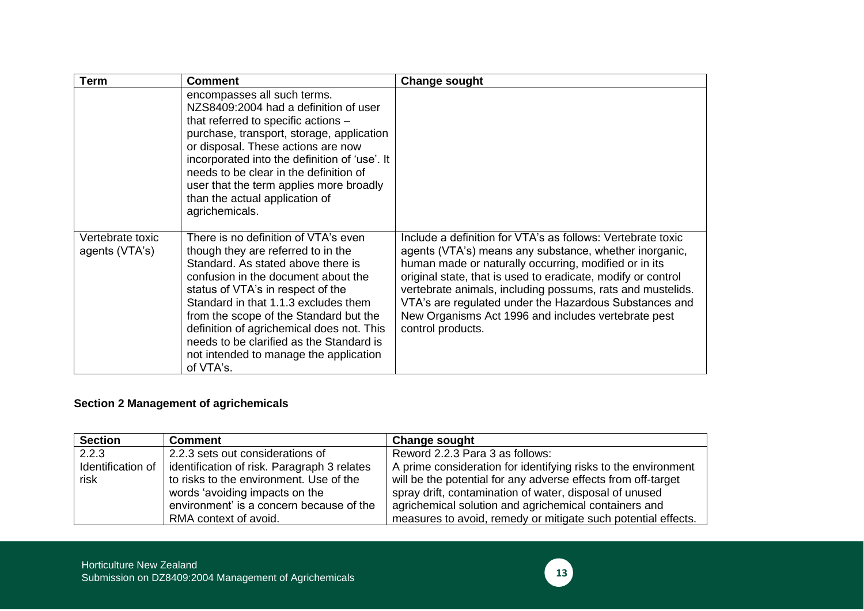| <b>Term</b>                        | <b>Comment</b>                                                                                                                                                                                                                                                                                                                                                                                                                 | <b>Change sought</b>                                                                                                                                                                                                                                                                                                                                                                                                                               |
|------------------------------------|--------------------------------------------------------------------------------------------------------------------------------------------------------------------------------------------------------------------------------------------------------------------------------------------------------------------------------------------------------------------------------------------------------------------------------|----------------------------------------------------------------------------------------------------------------------------------------------------------------------------------------------------------------------------------------------------------------------------------------------------------------------------------------------------------------------------------------------------------------------------------------------------|
|                                    | encompasses all such terms.<br>NZS8409:2004 had a definition of user<br>that referred to specific actions -<br>purchase, transport, storage, application<br>or disposal. These actions are now<br>incorporated into the definition of 'use'. It<br>needs to be clear in the definition of<br>user that the term applies more broadly<br>than the actual application of<br>agrichemicals.                                       |                                                                                                                                                                                                                                                                                                                                                                                                                                                    |
| Vertebrate toxic<br>agents (VTA's) | There is no definition of VTA's even<br>though they are referred to in the<br>Standard. As stated above there is<br>confusion in the document about the<br>status of VTA's in respect of the<br>Standard in that 1.1.3 excludes them<br>from the scope of the Standard but the<br>definition of agrichemical does not. This<br>needs to be clarified as the Standard is<br>not intended to manage the application<br>of VTA's. | Include a definition for VTA's as follows: Vertebrate toxic<br>agents (VTA's) means any substance, whether inorganic,<br>human made or naturally occurring, modified or in its<br>original state, that is used to eradicate, modify or control<br>vertebrate animals, including possums, rats and mustelids.<br>VTA's are regulated under the Hazardous Substances and<br>New Organisms Act 1996 and includes vertebrate pest<br>control products. |

## **Section 2 Management of agrichemicals**

| <b>Section</b>    | <b>Comment</b>                              | <b>Change sought</b>                                           |
|-------------------|---------------------------------------------|----------------------------------------------------------------|
| 2.2.3             | 2.2.3 sets out considerations of            | Reword 2.2.3 Para 3 as follows:                                |
| Identification of | identification of risk. Paragraph 3 relates | A prime consideration for identifying risks to the environment |
| risk              | to risks to the environment. Use of the     | will be the potential for any adverse effects from off-target  |
|                   | words 'avoiding impacts on the              | spray drift, contamination of water, disposal of unused        |
|                   | environment' is a concern because of the    | agrichemical solution and agrichemical containers and          |
|                   | RMA context of avoid.                       | measures to avoid, remedy or mitigate such potential effects.  |

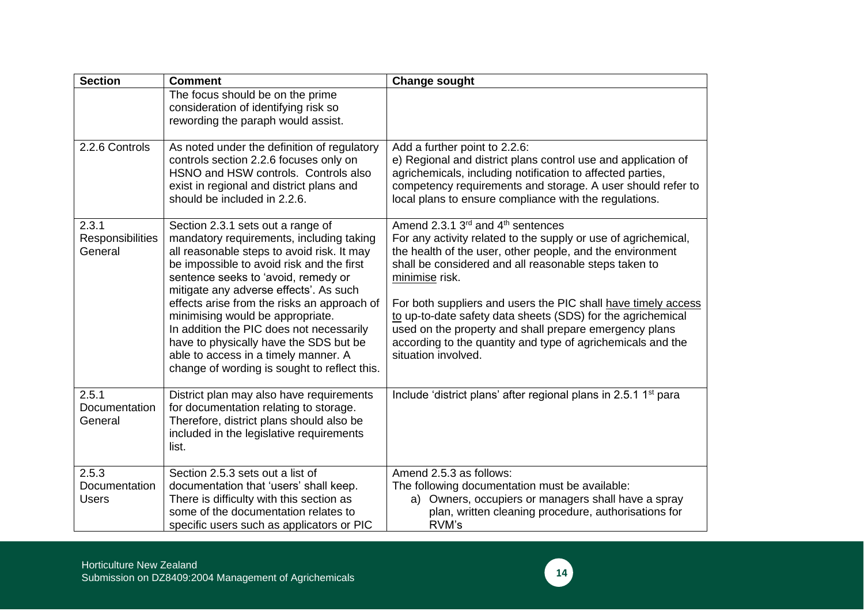| <b>Section</b>                         | <b>Comment</b>                                                                                                                                                                                                                                                                                                                                                                                                                                                                                                             | <b>Change sought</b>                                                                                                                                                                                                                                                                                                                                                                                                                                                                                                                    |
|----------------------------------------|----------------------------------------------------------------------------------------------------------------------------------------------------------------------------------------------------------------------------------------------------------------------------------------------------------------------------------------------------------------------------------------------------------------------------------------------------------------------------------------------------------------------------|-----------------------------------------------------------------------------------------------------------------------------------------------------------------------------------------------------------------------------------------------------------------------------------------------------------------------------------------------------------------------------------------------------------------------------------------------------------------------------------------------------------------------------------------|
|                                        | The focus should be on the prime<br>consideration of identifying risk so<br>rewording the paraph would assist.                                                                                                                                                                                                                                                                                                                                                                                                             |                                                                                                                                                                                                                                                                                                                                                                                                                                                                                                                                         |
| 2.2.6 Controls                         | As noted under the definition of regulatory<br>controls section 2.2.6 focuses only on<br>HSNO and HSW controls. Controls also<br>exist in regional and district plans and<br>should be included in 2.2.6.                                                                                                                                                                                                                                                                                                                  | Add a further point to 2.2.6:<br>e) Regional and district plans control use and application of<br>agrichemicals, including notification to affected parties,<br>competency requirements and storage. A user should refer to<br>local plans to ensure compliance with the regulations.                                                                                                                                                                                                                                                   |
| 2.3.1<br>Responsibilities<br>General   | Section 2.3.1 sets out a range of<br>mandatory requirements, including taking<br>all reasonable steps to avoid risk. It may<br>be impossible to avoid risk and the first<br>sentence seeks to 'avoid, remedy or<br>mitigate any adverse effects'. As such<br>effects arise from the risks an approach of<br>minimising would be appropriate.<br>In addition the PIC does not necessarily<br>have to physically have the SDS but be<br>able to access in a timely manner. A<br>change of wording is sought to reflect this. | Amend 2.3.1 3rd and 4 <sup>th</sup> sentences<br>For any activity related to the supply or use of agrichemical,<br>the health of the user, other people, and the environment<br>shall be considered and all reasonable steps taken to<br>minimise risk.<br>For both suppliers and users the PIC shall have timely access<br>to up-to-date safety data sheets (SDS) for the agrichemical<br>used on the property and shall prepare emergency plans<br>according to the quantity and type of agrichemicals and the<br>situation involved. |
| 2.5.1<br>Documentation<br>General      | District plan may also have requirements<br>for documentation relating to storage.<br>Therefore, district plans should also be<br>included in the legislative requirements<br>list.                                                                                                                                                                                                                                                                                                                                        | Include 'district plans' after regional plans in 2.5.1 1 <sup>st</sup> para                                                                                                                                                                                                                                                                                                                                                                                                                                                             |
| 2.5.3<br>Documentation<br><b>Users</b> | Section 2.5.3 sets out a list of<br>documentation that 'users' shall keep.<br>There is difficulty with this section as<br>some of the documentation relates to<br>specific users such as applicators or PIC                                                                                                                                                                                                                                                                                                                | Amend 2.5.3 as follows:<br>The following documentation must be available:<br>a) Owners, occupiers or managers shall have a spray<br>plan, written cleaning procedure, authorisations for<br>RVM's                                                                                                                                                                                                                                                                                                                                       |

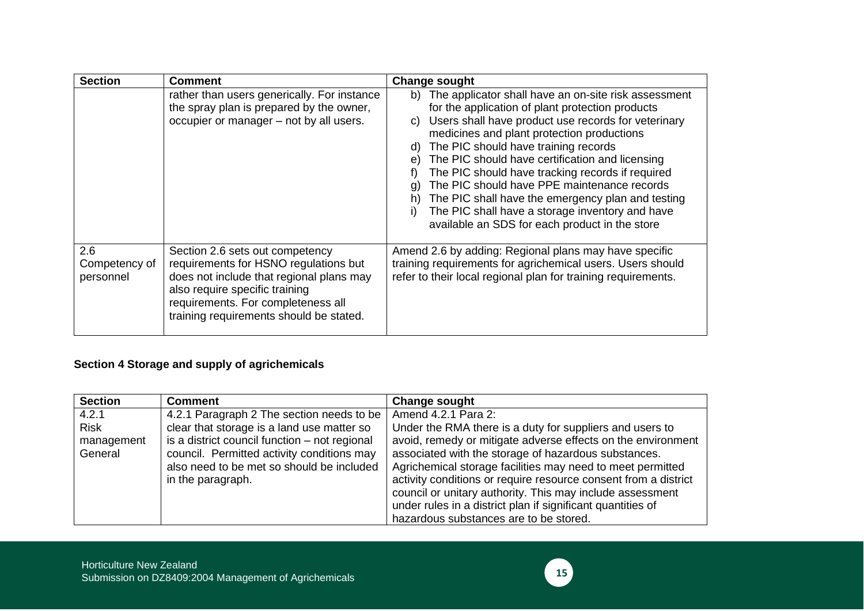| <b>Section</b>                    | <b>Comment</b>                                                                                                                                                                                                                          | <b>Change sought</b>                                                                                                                                                                                                                                                                                                                                                                                                                                                                                                                                                                                                         |
|-----------------------------------|-----------------------------------------------------------------------------------------------------------------------------------------------------------------------------------------------------------------------------------------|------------------------------------------------------------------------------------------------------------------------------------------------------------------------------------------------------------------------------------------------------------------------------------------------------------------------------------------------------------------------------------------------------------------------------------------------------------------------------------------------------------------------------------------------------------------------------------------------------------------------------|
|                                   | rather than users generically. For instance<br>the spray plan is prepared by the owner,<br>occupier or manager - not by all users.                                                                                                      | b) The applicator shall have an on-site risk assessment<br>for the application of plant protection products<br>Users shall have product use records for veterinary<br>C)<br>medicines and plant protection productions<br>The PIC should have training records<br>d)<br>The PIC should have certification and licensing<br>$\Theta$<br>The PIC should have tracking records if required<br>f)<br>The PIC should have PPE maintenance records<br>(g<br>The PIC shall have the emergency plan and testing<br>h)<br>The PIC shall have a storage inventory and have<br>$_{1}$<br>available an SDS for each product in the store |
| 2.6<br>Competency of<br>personnel | Section 2.6 sets out competency<br>requirements for HSNO regulations but<br>does not include that regional plans may<br>also require specific training<br>requirements. For completeness all<br>training requirements should be stated. | Amend 2.6 by adding: Regional plans may have specific<br>training requirements for agrichemical users. Users should<br>refer to their local regional plan for training requirements.                                                                                                                                                                                                                                                                                                                                                                                                                                         |

## **Section 4 Storage and supply of agrichemicals**

| <b>Section</b>        | <b>Comment</b>                                                                                                                                                | <b>Change sought</b>                                                                                                                                                                                                                                                                                                                                                                                                        |
|-----------------------|---------------------------------------------------------------------------------------------------------------------------------------------------------------|-----------------------------------------------------------------------------------------------------------------------------------------------------------------------------------------------------------------------------------------------------------------------------------------------------------------------------------------------------------------------------------------------------------------------------|
| 4.2.1                 | 4.2.1 Paragraph 2 The section needs to be                                                                                                                     | Amend 4.2.1 Para 2:                                                                                                                                                                                                                                                                                                                                                                                                         |
| <b>Risk</b>           | clear that storage is a land use matter so                                                                                                                    | Under the RMA there is a duty for suppliers and users to                                                                                                                                                                                                                                                                                                                                                                    |
| management<br>General | is a district council function – not regional<br>council. Permitted activity conditions may<br>also need to be met so should be included<br>in the paragraph. | avoid, remedy or mitigate adverse effects on the environment<br>associated with the storage of hazardous substances.<br>Agrichemical storage facilities may need to meet permitted<br>activity conditions or require resource consent from a district<br>council or unitary authority. This may include assessment<br>under rules in a district plan if significant quantities of<br>hazardous substances are to be stored. |

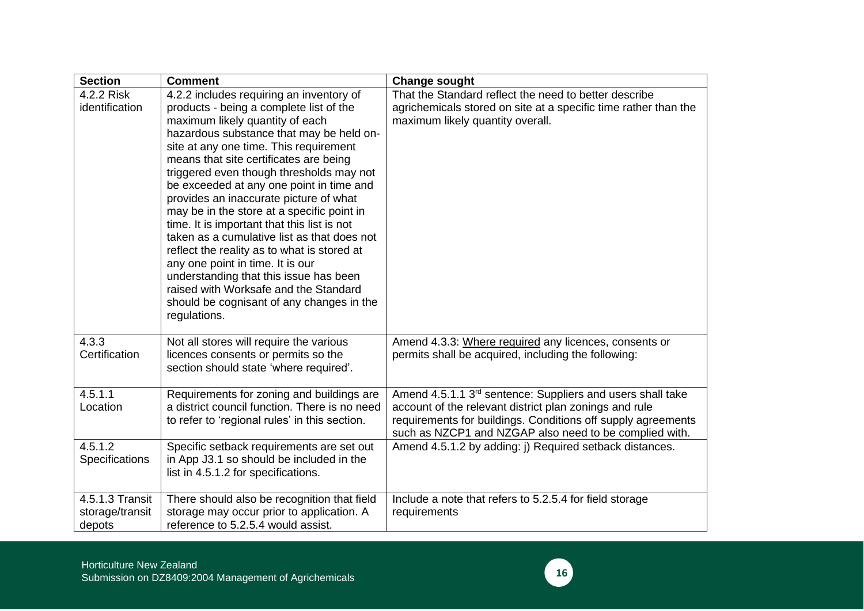| <b>Section</b>                               | <b>Comment</b>                                                                                                                                                                                                                                                                                                                                                                                                                                                                                                                                                                                                                                                                                                                                                          | <b>Change sought</b>                                                                                                                                                                                                                                       |
|----------------------------------------------|-------------------------------------------------------------------------------------------------------------------------------------------------------------------------------------------------------------------------------------------------------------------------------------------------------------------------------------------------------------------------------------------------------------------------------------------------------------------------------------------------------------------------------------------------------------------------------------------------------------------------------------------------------------------------------------------------------------------------------------------------------------------------|------------------------------------------------------------------------------------------------------------------------------------------------------------------------------------------------------------------------------------------------------------|
| 4.2.2 Risk<br>identification                 | 4.2.2 includes requiring an inventory of<br>products - being a complete list of the<br>maximum likely quantity of each<br>hazardous substance that may be held on-<br>site at any one time. This requirement<br>means that site certificates are being<br>triggered even though thresholds may not<br>be exceeded at any one point in time and<br>provides an inaccurate picture of what<br>may be in the store at a specific point in<br>time. It is important that this list is not<br>taken as a cumulative list as that does not<br>reflect the reality as to what is stored at<br>any one point in time. It is our<br>understanding that this issue has been<br>raised with Worksafe and the Standard<br>should be cognisant of any changes in the<br>regulations. | That the Standard reflect the need to better describe<br>agrichemicals stored on site at a specific time rather than the<br>maximum likely quantity overall.                                                                                               |
| 4.3.3<br>Certification                       | Not all stores will require the various<br>licences consents or permits so the<br>section should state 'where required'.                                                                                                                                                                                                                                                                                                                                                                                                                                                                                                                                                                                                                                                | Amend 4.3.3: Where required any licences, consents or<br>permits shall be acquired, including the following:                                                                                                                                               |
| 4.5.1.1<br>Location                          | Requirements for zoning and buildings are<br>a district council function. There is no need<br>to refer to 'regional rules' in this section.                                                                                                                                                                                                                                                                                                                                                                                                                                                                                                                                                                                                                             | Amend 4.5.1.1 3 <sup>rd</sup> sentence: Suppliers and users shall take<br>account of the relevant district plan zonings and rule<br>requirements for buildings. Conditions off supply agreements<br>such as NZCP1 and NZGAP also need to be complied with. |
| 4.5.1.2<br>Specifications                    | Specific setback requirements are set out<br>in App J3.1 so should be included in the<br>list in 4.5.1.2 for specifications.                                                                                                                                                                                                                                                                                                                                                                                                                                                                                                                                                                                                                                            | Amend 4.5.1.2 by adding: j) Required setback distances.                                                                                                                                                                                                    |
| 4.5.1.3 Transit<br>storage/transit<br>depots | There should also be recognition that field<br>storage may occur prior to application. A<br>reference to 5.2.5.4 would assist.                                                                                                                                                                                                                                                                                                                                                                                                                                                                                                                                                                                                                                          | Include a note that refers to 5.2.5.4 for field storage<br>requirements                                                                                                                                                                                    |

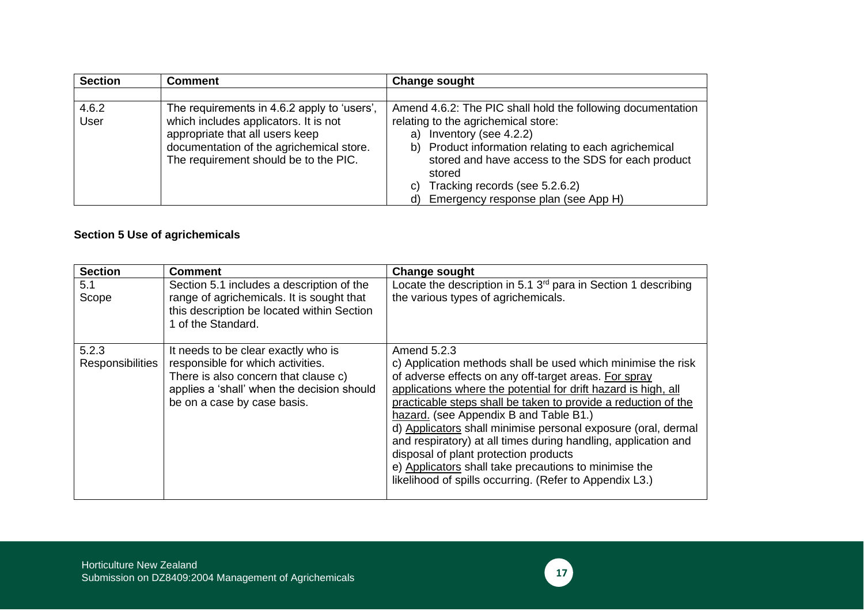| <b>Section</b> | <b>Comment</b>                              | <b>Change sought</b>                                         |
|----------------|---------------------------------------------|--------------------------------------------------------------|
|                |                                             |                                                              |
| 4.6.2          | The requirements in 4.6.2 apply to 'users', | Amend 4.6.2: The PIC shall hold the following documentation  |
| User           | which includes applicators. It is not       | relating to the agrichemical store:                          |
|                | appropriate that all users keep             | Inventory (see 4.2.2)<br>a)                                  |
|                | documentation of the agrichemical store.    | b) Product information relating to each agrichemical         |
|                | The requirement should be to the PIC.       | stored and have access to the SDS for each product<br>stored |
|                |                                             | Tracking records (see 5.2.6.2)<br>C)                         |
|                |                                             | Emergency response plan (see App H)<br>d)                    |

## **Section 5 Use of agrichemicals**

| <b>Section</b>                   | <b>Comment</b>                                                                                                                                                                                | <b>Change sought</b>                                                                                                                                                                                                                                                                                                                                                                                                                                                                                                                                                                                               |
|----------------------------------|-----------------------------------------------------------------------------------------------------------------------------------------------------------------------------------------------|--------------------------------------------------------------------------------------------------------------------------------------------------------------------------------------------------------------------------------------------------------------------------------------------------------------------------------------------------------------------------------------------------------------------------------------------------------------------------------------------------------------------------------------------------------------------------------------------------------------------|
| 5.1<br>Scope                     | Section 5.1 includes a description of the<br>range of agrichemicals. It is sought that<br>this description be located within Section<br>1 of the Standard.                                    | Locate the description in 5.1 3 <sup>rd</sup> para in Section 1 describing<br>the various types of agrichemicals.                                                                                                                                                                                                                                                                                                                                                                                                                                                                                                  |
| 5.2.3<br><b>Responsibilities</b> | It needs to be clear exactly who is<br>responsible for which activities.<br>There is also concern that clause c)<br>applies a 'shall' when the decision should<br>be on a case by case basis. | Amend 5.2.3<br>c) Application methods shall be used which minimise the risk<br>of adverse effects on any off-target areas. For spray<br>applications where the potential for drift hazard is high, all<br>practicable steps shall be taken to provide a reduction of the<br>hazard. (see Appendix B and Table B1.)<br>d) Applicators shall minimise personal exposure (oral, dermal<br>and respiratory) at all times during handling, application and<br>disposal of plant protection products<br>e) Applicators shall take precautions to minimise the<br>likelihood of spills occurring. (Refer to Appendix L3.) |

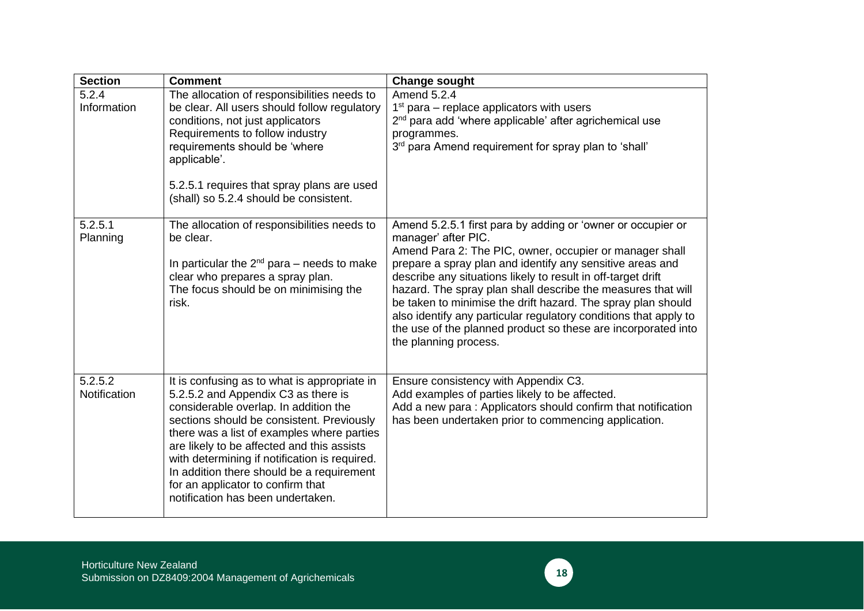| <b>Section</b>          | <b>Comment</b>                                                                                                                                                                                                                                                                                                                                                                                                                                | <b>Change sought</b>                                                                                                                                                                                                                                                                                                                                                                                                                                                                                                                                                     |
|-------------------------|-----------------------------------------------------------------------------------------------------------------------------------------------------------------------------------------------------------------------------------------------------------------------------------------------------------------------------------------------------------------------------------------------------------------------------------------------|--------------------------------------------------------------------------------------------------------------------------------------------------------------------------------------------------------------------------------------------------------------------------------------------------------------------------------------------------------------------------------------------------------------------------------------------------------------------------------------------------------------------------------------------------------------------------|
| 5.2.4<br>Information    | The allocation of responsibilities needs to<br>be clear. All users should follow regulatory<br>conditions, not just applicators<br>Requirements to follow industry<br>requirements should be 'where<br>applicable'.<br>5.2.5.1 requires that spray plans are used<br>(shall) so 5.2.4 should be consistent.                                                                                                                                   | Amend 5.2.4<br>$1st$ para – replace applicators with users<br>2 <sup>nd</sup> para add 'where applicable' after agrichemical use<br>programmes.<br>3rd para Amend requirement for spray plan to 'shall'                                                                                                                                                                                                                                                                                                                                                                  |
| 5.2.5.1<br>Planning     | The allocation of responsibilities needs to<br>be clear.<br>In particular the $2^{nd}$ para – needs to make<br>clear who prepares a spray plan.<br>The focus should be on minimising the<br>risk.                                                                                                                                                                                                                                             | Amend 5.2.5.1 first para by adding or 'owner or occupier or<br>manager' after PIC.<br>Amend Para 2: The PIC, owner, occupier or manager shall<br>prepare a spray plan and identify any sensitive areas and<br>describe any situations likely to result in off-target drift<br>hazard. The spray plan shall describe the measures that will<br>be taken to minimise the drift hazard. The spray plan should<br>also identify any particular regulatory conditions that apply to<br>the use of the planned product so these are incorporated into<br>the planning process. |
| 5.2.5.2<br>Notification | It is confusing as to what is appropriate in<br>5.2.5.2 and Appendix C3 as there is<br>considerable overlap. In addition the<br>sections should be consistent. Previously<br>there was a list of examples where parties<br>are likely to be affected and this assists<br>with determining if notification is required.<br>In addition there should be a requirement<br>for an applicator to confirm that<br>notification has been undertaken. | Ensure consistency with Appendix C3.<br>Add examples of parties likely to be affected.<br>Add a new para: Applicators should confirm that notification<br>has been undertaken prior to commencing application.                                                                                                                                                                                                                                                                                                                                                           |

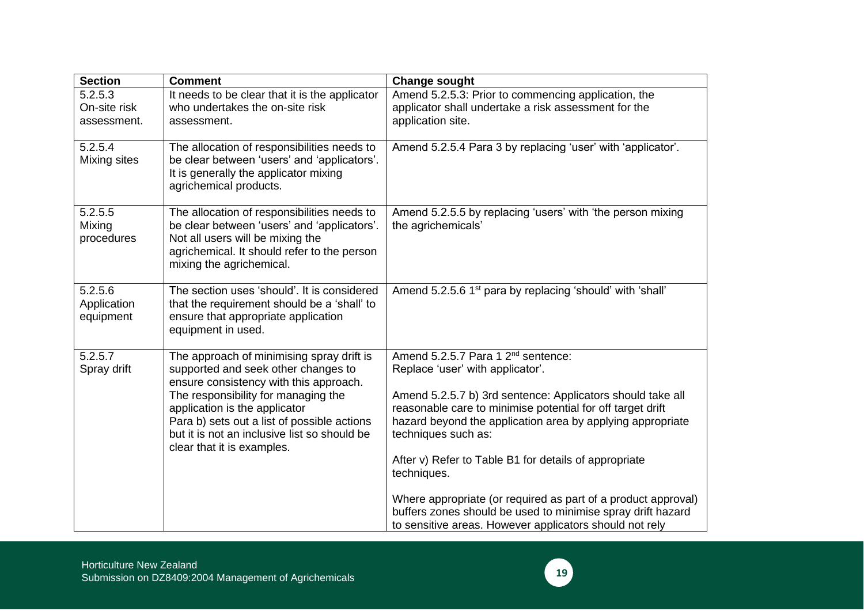| <b>Section</b>                         | <b>Comment</b>                                                                                                                                                                                                                                                                                                                  | <b>Change sought</b>                                                                                                                                                                                                                                                                                                                                                                                                                                                                                                                                                   |
|----------------------------------------|---------------------------------------------------------------------------------------------------------------------------------------------------------------------------------------------------------------------------------------------------------------------------------------------------------------------------------|------------------------------------------------------------------------------------------------------------------------------------------------------------------------------------------------------------------------------------------------------------------------------------------------------------------------------------------------------------------------------------------------------------------------------------------------------------------------------------------------------------------------------------------------------------------------|
| 5.2.5.3<br>On-site risk<br>assessment. | It needs to be clear that it is the applicator<br>who undertakes the on-site risk<br>assessment.                                                                                                                                                                                                                                | Amend 5.2.5.3: Prior to commencing application, the<br>applicator shall undertake a risk assessment for the<br>application site.                                                                                                                                                                                                                                                                                                                                                                                                                                       |
| 5.2.5.4<br>Mixing sites                | The allocation of responsibilities needs to<br>be clear between 'users' and 'applicators'.<br>It is generally the applicator mixing<br>agrichemical products.                                                                                                                                                                   | Amend 5.2.5.4 Para 3 by replacing 'user' with 'applicator'.                                                                                                                                                                                                                                                                                                                                                                                                                                                                                                            |
| 5.2.5.5<br>Mixing<br>procedures        | The allocation of responsibilities needs to<br>be clear between 'users' and 'applicators'.<br>Not all users will be mixing the<br>agrichemical. It should refer to the person<br>mixing the agrichemical.                                                                                                                       | Amend 5.2.5.5 by replacing 'users' with 'the person mixing<br>the agrichemicals'                                                                                                                                                                                                                                                                                                                                                                                                                                                                                       |
| 5.2.5.6<br>Application<br>equipment    | The section uses 'should'. It is considered<br>that the requirement should be a 'shall' to<br>ensure that appropriate application<br>equipment in used.                                                                                                                                                                         | Amend 5.2.5.6 1 <sup>st</sup> para by replacing 'should' with 'shall'                                                                                                                                                                                                                                                                                                                                                                                                                                                                                                  |
| 5.2.5.7<br>Spray drift                 | The approach of minimising spray drift is<br>supported and seek other changes to<br>ensure consistency with this approach.<br>The responsibility for managing the<br>application is the applicator<br>Para b) sets out a list of possible actions<br>but it is not an inclusive list so should be<br>clear that it is examples. | Amend 5.2.5.7 Para 1 2 <sup>nd</sup> sentence:<br>Replace 'user' with applicator'.<br>Amend 5.2.5.7 b) 3rd sentence: Applicators should take all<br>reasonable care to minimise potential for off target drift<br>hazard beyond the application area by applying appropriate<br>techniques such as:<br>After v) Refer to Table B1 for details of appropriate<br>techniques.<br>Where appropriate (or required as part of a product approval)<br>buffers zones should be used to minimise spray drift hazard<br>to sensitive areas. However applicators should not rely |

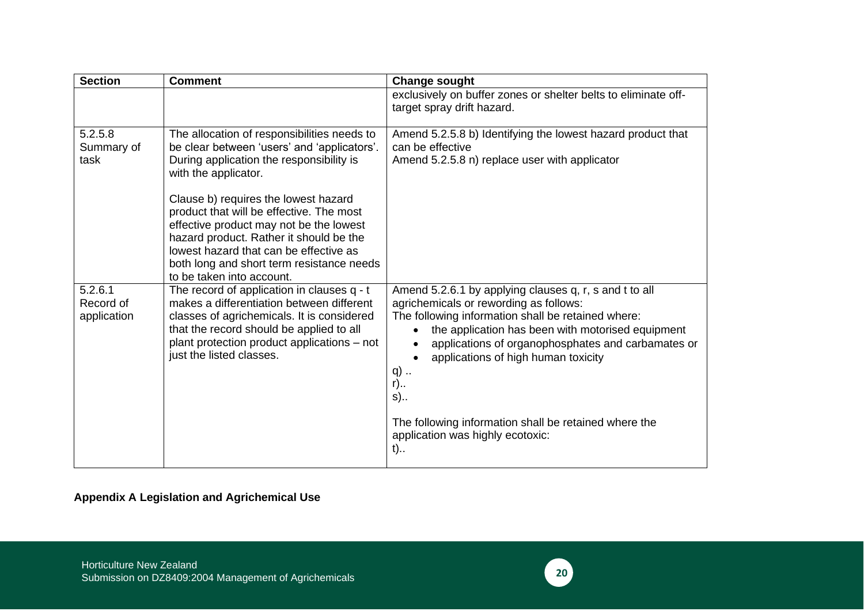| <b>Section</b>                      | <b>Comment</b>                                                                                                                                                                                                                                                                             | <b>Change sought</b>                                                                                                                                                                                                                                                                                                                        |
|-------------------------------------|--------------------------------------------------------------------------------------------------------------------------------------------------------------------------------------------------------------------------------------------------------------------------------------------|---------------------------------------------------------------------------------------------------------------------------------------------------------------------------------------------------------------------------------------------------------------------------------------------------------------------------------------------|
|                                     |                                                                                                                                                                                                                                                                                            | exclusively on buffer zones or shelter belts to eliminate off-<br>target spray drift hazard.                                                                                                                                                                                                                                                |
| 5.2.5.8<br>Summary of<br>task       | The allocation of responsibilities needs to<br>be clear between 'users' and 'applicators'.<br>During application the responsibility is<br>with the applicator.                                                                                                                             | Amend 5.2.5.8 b) Identifying the lowest hazard product that<br>can be effective<br>Amend 5.2.5.8 n) replace user with applicator                                                                                                                                                                                                            |
|                                     | Clause b) requires the lowest hazard<br>product that will be effective. The most<br>effective product may not be the lowest<br>hazard product. Rather it should be the<br>lowest hazard that can be effective as<br>both long and short term resistance needs<br>to be taken into account. |                                                                                                                                                                                                                                                                                                                                             |
| 5.2.6.1<br>Record of<br>application | The record of application in clauses q - t<br>makes a differentiation between different<br>classes of agrichemicals. It is considered<br>that the record should be applied to all<br>plant protection product applications – not<br>just the listed classes.                               | Amend 5.2.6.1 by applying clauses q, r, s and t to all<br>agrichemicals or rewording as follows:<br>The following information shall be retained where:<br>the application has been with motorised equipment<br>$\bullet$<br>applications of organophosphates and carbamates or<br>applications of high human toxicity<br>q)<br>$r)$<br>$s)$ |
|                                     |                                                                                                                                                                                                                                                                                            | The following information shall be retained where the<br>application was highly ecotoxic:<br>$t)$                                                                                                                                                                                                                                           |

## **Appendix A Legislation and Agrichemical Use**

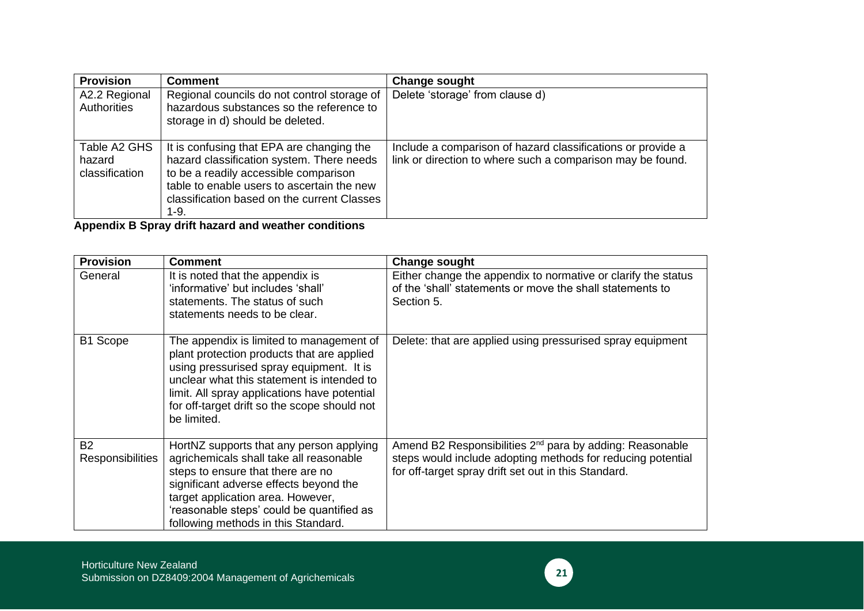| <b>Provision</b>                         | <b>Comment</b>                                                                                                                                                                                                                           | <b>Change sought</b>                                                                                                      |
|------------------------------------------|------------------------------------------------------------------------------------------------------------------------------------------------------------------------------------------------------------------------------------------|---------------------------------------------------------------------------------------------------------------------------|
| A2.2 Regional<br>Authorities             | Regional councils do not control storage of<br>hazardous substances so the reference to<br>storage in d) should be deleted.                                                                                                              | Delete 'storage' from clause d)                                                                                           |
| Table A2 GHS<br>hazard<br>classification | It is confusing that EPA are changing the<br>hazard classification system. There needs<br>to be a readily accessible comparison<br>table to enable users to ascertain the new<br>classification based on the current Classes<br>$1 - 9.$ | Include a comparison of hazard classifications or provide a<br>link or direction to where such a comparison may be found. |

**Appendix B Spray drift hazard and weather conditions**

| <b>Provision</b>                     | <b>Comment</b>                                                                                                                                                                                                                                                                                  | <b>Change sought</b>                                                                                                                                                                        |
|--------------------------------------|-------------------------------------------------------------------------------------------------------------------------------------------------------------------------------------------------------------------------------------------------------------------------------------------------|---------------------------------------------------------------------------------------------------------------------------------------------------------------------------------------------|
| General                              | It is noted that the appendix is<br>'informative' but includes 'shall'<br>statements. The status of such<br>statements needs to be clear.                                                                                                                                                       | Either change the appendix to normative or clarify the status<br>of the 'shall' statements or move the shall statements to<br>Section 5.                                                    |
| B1 Scope                             | The appendix is limited to management of<br>plant protection products that are applied<br>using pressurised spray equipment. It is<br>unclear what this statement is intended to<br>limit. All spray applications have potential<br>for off-target drift so the scope should not<br>be limited. | Delete: that are applied using pressurised spray equipment                                                                                                                                  |
| <b>B2</b><br><b>Responsibilities</b> | HortNZ supports that any person applying<br>agrichemicals shall take all reasonable<br>steps to ensure that there are no<br>significant adverse effects beyond the<br>target application area. However,<br>'reasonable steps' could be quantified as<br>following methods in this Standard.     | Amend B2 Responsibilities 2 <sup>nd</sup> para by adding: Reasonable<br>steps would include adopting methods for reducing potential<br>for off-target spray drift set out in this Standard. |

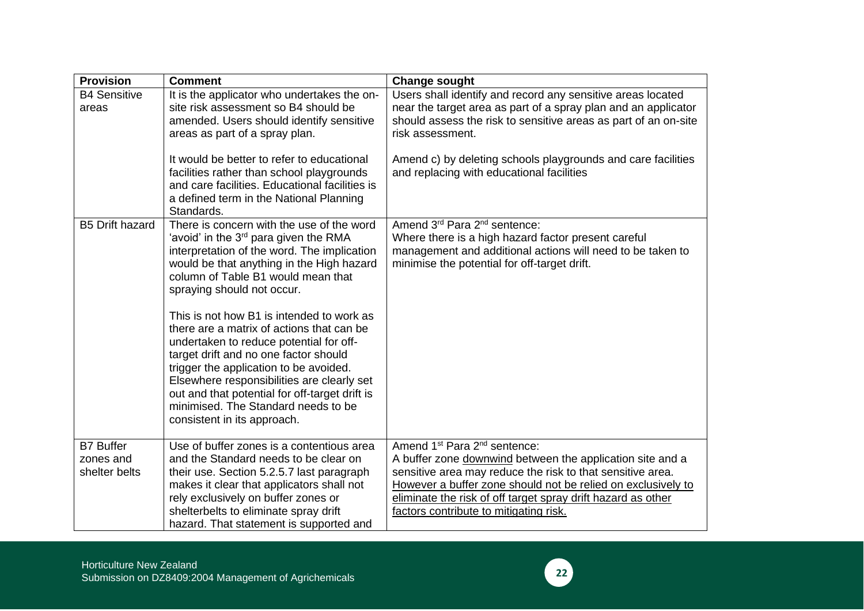| <b>Provision</b>                               | <b>Comment</b>                                                                                                                                                                                                                                                                                                                                                                                                                                                                                                                                                                                                                                               | <b>Change sought</b>                                                                                                                                                                                                                                                                                                                                      |
|------------------------------------------------|--------------------------------------------------------------------------------------------------------------------------------------------------------------------------------------------------------------------------------------------------------------------------------------------------------------------------------------------------------------------------------------------------------------------------------------------------------------------------------------------------------------------------------------------------------------------------------------------------------------------------------------------------------------|-----------------------------------------------------------------------------------------------------------------------------------------------------------------------------------------------------------------------------------------------------------------------------------------------------------------------------------------------------------|
| <b>B4 Sensitive</b><br>areas                   | It is the applicator who undertakes the on-<br>site risk assessment so B4 should be<br>amended. Users should identify sensitive<br>areas as part of a spray plan.                                                                                                                                                                                                                                                                                                                                                                                                                                                                                            | Users shall identify and record any sensitive areas located<br>near the target area as part of a spray plan and an applicator<br>should assess the risk to sensitive areas as part of an on-site<br>risk assessment.                                                                                                                                      |
|                                                | It would be better to refer to educational<br>facilities rather than school playgrounds<br>and care facilities. Educational facilities is<br>a defined term in the National Planning<br>Standards.                                                                                                                                                                                                                                                                                                                                                                                                                                                           | Amend c) by deleting schools playgrounds and care facilities<br>and replacing with educational facilities                                                                                                                                                                                                                                                 |
| <b>B5 Drift hazard</b>                         | There is concern with the use of the word<br>'avoid' in the 3 <sup>rd</sup> para given the RMA<br>interpretation of the word. The implication<br>would be that anything in the High hazard<br>column of Table B1 would mean that<br>spraying should not occur.<br>This is not how B1 is intended to work as<br>there are a matrix of actions that can be<br>undertaken to reduce potential for off-<br>target drift and no one factor should<br>trigger the application to be avoided.<br>Elsewhere responsibilities are clearly set<br>out and that potential for off-target drift is<br>minimised. The Standard needs to be<br>consistent in its approach. | Amend 3 <sup>rd</sup> Para 2 <sup>nd</sup> sentence:<br>Where there is a high hazard factor present careful<br>management and additional actions will need to be taken to<br>minimise the potential for off-target drift.                                                                                                                                 |
| <b>B7 Buffer</b><br>zones and<br>shelter belts | Use of buffer zones is a contentious area<br>and the Standard needs to be clear on<br>their use. Section 5.2.5.7 last paragraph<br>makes it clear that applicators shall not<br>rely exclusively on buffer zones or<br>shelterbelts to eliminate spray drift<br>hazard. That statement is supported and                                                                                                                                                                                                                                                                                                                                                      | Amend 1 <sup>st</sup> Para 2 <sup>nd</sup> sentence:<br>A buffer zone downwind between the application site and a<br>sensitive area may reduce the risk to that sensitive area.<br>However a buffer zone should not be relied on exclusively to<br>eliminate the risk of off target spray drift hazard as other<br>factors contribute to mitigating risk. |

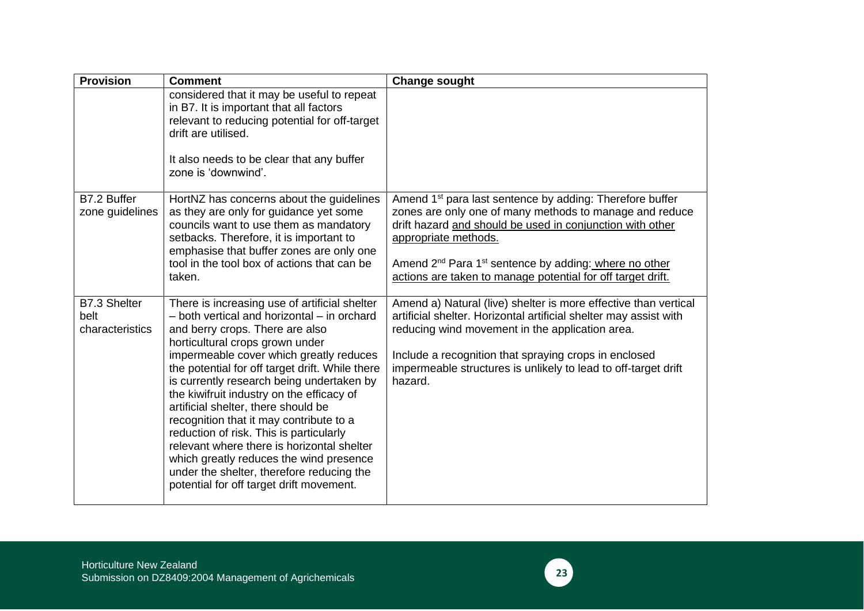| <b>Provision</b>                        | <b>Comment</b>                                                                                                                                                                                                                                                                                                                                                                                                                                                                                                                                                                                                                                                            | <b>Change sought</b>                                                                                                                                                                                                                                                                                                                                                 |
|-----------------------------------------|---------------------------------------------------------------------------------------------------------------------------------------------------------------------------------------------------------------------------------------------------------------------------------------------------------------------------------------------------------------------------------------------------------------------------------------------------------------------------------------------------------------------------------------------------------------------------------------------------------------------------------------------------------------------------|----------------------------------------------------------------------------------------------------------------------------------------------------------------------------------------------------------------------------------------------------------------------------------------------------------------------------------------------------------------------|
|                                         | considered that it may be useful to repeat<br>in B7. It is important that all factors<br>relevant to reducing potential for off-target<br>drift are utilised.<br>It also needs to be clear that any buffer<br>zone is 'downwind'.                                                                                                                                                                                                                                                                                                                                                                                                                                         |                                                                                                                                                                                                                                                                                                                                                                      |
| B7.2 Buffer<br>zone guidelines          | HortNZ has concerns about the guidelines<br>as they are only for guidance yet some<br>councils want to use them as mandatory<br>setbacks. Therefore, it is important to<br>emphasise that buffer zones are only one<br>tool in the tool box of actions that can be<br>taken.                                                                                                                                                                                                                                                                                                                                                                                              | Amend 1 <sup>st</sup> para last sentence by adding: Therefore buffer<br>zones are only one of many methods to manage and reduce<br>drift hazard and should be used in conjunction with other<br>appropriate methods.<br>Amend 2 <sup>nd</sup> Para 1 <sup>st</sup> sentence by adding: where no other<br>actions are taken to manage potential for off target drift. |
| B7.3 Shelter<br>belt<br>characteristics | There is increasing use of artificial shelter<br>- both vertical and horizontal - in orchard<br>and berry crops. There are also<br>horticultural crops grown under<br>impermeable cover which greatly reduces<br>the potential for off target drift. While there<br>is currently research being undertaken by<br>the kiwifruit industry on the efficacy of<br>artificial shelter, there should be<br>recognition that it may contribute to a<br>reduction of risk. This is particularly<br>relevant where there is horizontal shelter<br>which greatly reduces the wind presence<br>under the shelter, therefore reducing the<br>potential for off target drift movement. | Amend a) Natural (live) shelter is more effective than vertical<br>artificial shelter. Horizontal artificial shelter may assist with<br>reducing wind movement in the application area.<br>Include a recognition that spraying crops in enclosed<br>impermeable structures is unlikely to lead to off-target drift<br>hazard.                                        |

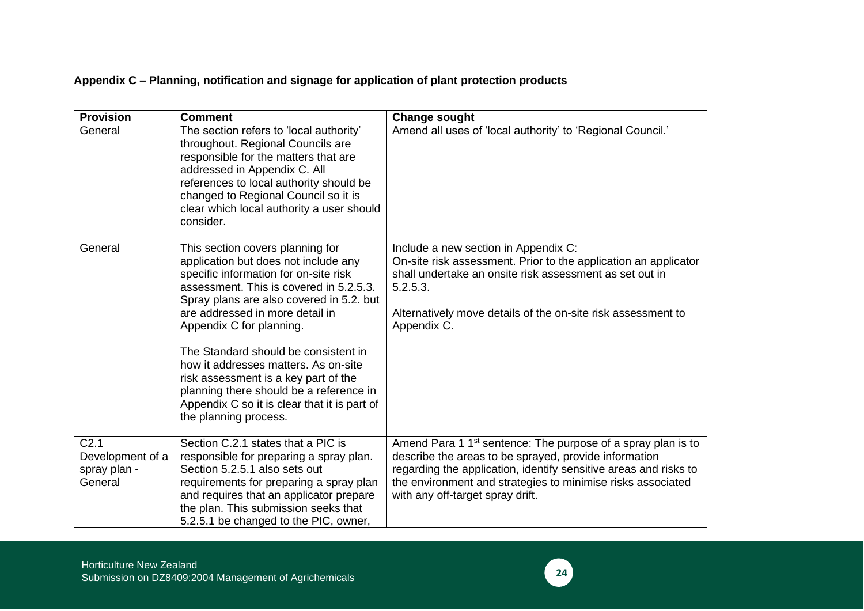## **Appendix C – Planning, notification and signage for application of plant protection products**

| <b>Provision</b>                                                | <b>Comment</b>                                                                                                                                                                                                                                                                                                                                                                                                                                                                                                      | <b>Change sought</b>                                                                                                                                                                                                                                                                                     |
|-----------------------------------------------------------------|---------------------------------------------------------------------------------------------------------------------------------------------------------------------------------------------------------------------------------------------------------------------------------------------------------------------------------------------------------------------------------------------------------------------------------------------------------------------------------------------------------------------|----------------------------------------------------------------------------------------------------------------------------------------------------------------------------------------------------------------------------------------------------------------------------------------------------------|
| General                                                         | The section refers to 'local authority'<br>throughout. Regional Councils are<br>responsible for the matters that are<br>addressed in Appendix C. All<br>references to local authority should be<br>changed to Regional Council so it is<br>clear which local authority a user should<br>consider.                                                                                                                                                                                                                   | Amend all uses of 'local authority' to 'Regional Council.'                                                                                                                                                                                                                                               |
| General                                                         | This section covers planning for<br>application but does not include any<br>specific information for on-site risk<br>assessment. This is covered in 5.2.5.3.<br>Spray plans are also covered in 5.2. but<br>are addressed in more detail in<br>Appendix C for planning.<br>The Standard should be consistent in<br>how it addresses matters. As on-site<br>risk assessment is a key part of the<br>planning there should be a reference in<br>Appendix C so it is clear that it is part of<br>the planning process. | Include a new section in Appendix C:<br>On-site risk assessment. Prior to the application an applicator<br>shall undertake an onsite risk assessment as set out in<br>5.2.5.3.<br>Alternatively move details of the on-site risk assessment to<br>Appendix C.                                            |
| C <sub>2.1</sub><br>Development of a<br>spray plan -<br>General | Section C.2.1 states that a PIC is<br>responsible for preparing a spray plan.<br>Section 5.2.5.1 also sets out<br>requirements for preparing a spray plan<br>and requires that an applicator prepare<br>the plan. This submission seeks that<br>5.2.5.1 be changed to the PIC, owner,                                                                                                                                                                                                                               | Amend Para 1 1 <sup>st</sup> sentence: The purpose of a spray plan is to<br>describe the areas to be sprayed, provide information<br>regarding the application, identify sensitive areas and risks to<br>the environment and strategies to minimise risks associated<br>with any off-target spray drift. |

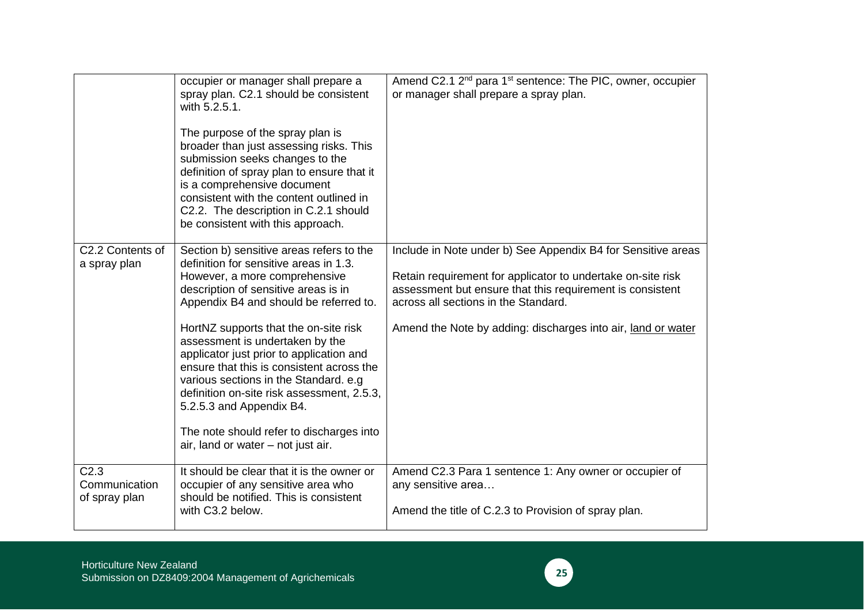|                                                    | occupier or manager shall prepare a<br>spray plan. C2.1 should be consistent<br>with 5.2.5.1.<br>The purpose of the spray plan is<br>broader than just assessing risks. This<br>submission seeks changes to the<br>definition of spray plan to ensure that it<br>is a comprehensive document<br>consistent with the content outlined in<br>C2.2. The description in C.2.1 should<br>be consistent with this approach.                                                                                                                                                            | Amend C2.1 2 <sup>nd</sup> para 1 <sup>st</sup> sentence: The PIC, owner, occupier<br>or manager shall prepare a spray plan.                                                                                                                                                                     |
|----------------------------------------------------|----------------------------------------------------------------------------------------------------------------------------------------------------------------------------------------------------------------------------------------------------------------------------------------------------------------------------------------------------------------------------------------------------------------------------------------------------------------------------------------------------------------------------------------------------------------------------------|--------------------------------------------------------------------------------------------------------------------------------------------------------------------------------------------------------------------------------------------------------------------------------------------------|
| C2.2 Contents of<br>a spray plan                   | Section b) sensitive areas refers to the<br>definition for sensitive areas in 1.3.<br>However, a more comprehensive<br>description of sensitive areas is in<br>Appendix B4 and should be referred to.<br>HortNZ supports that the on-site risk<br>assessment is undertaken by the<br>applicator just prior to application and<br>ensure that this is consistent across the<br>various sections in the Standard. e.g.<br>definition on-site risk assessment, 2.5.3,<br>5.2.5.3 and Appendix B4.<br>The note should refer to discharges into<br>air, land or water - not just air. | Include in Note under b) See Appendix B4 for Sensitive areas<br>Retain requirement for applicator to undertake on-site risk<br>assessment but ensure that this requirement is consistent<br>across all sections in the Standard.<br>Amend the Note by adding: discharges into air, land or water |
| C <sub>2.3</sub><br>Communication<br>of spray plan | It should be clear that it is the owner or<br>occupier of any sensitive area who<br>should be notified. This is consistent<br>with C3.2 below.                                                                                                                                                                                                                                                                                                                                                                                                                                   | Amend C2.3 Para 1 sentence 1: Any owner or occupier of<br>any sensitive area<br>Amend the title of C.2.3 to Provision of spray plan.                                                                                                                                                             |

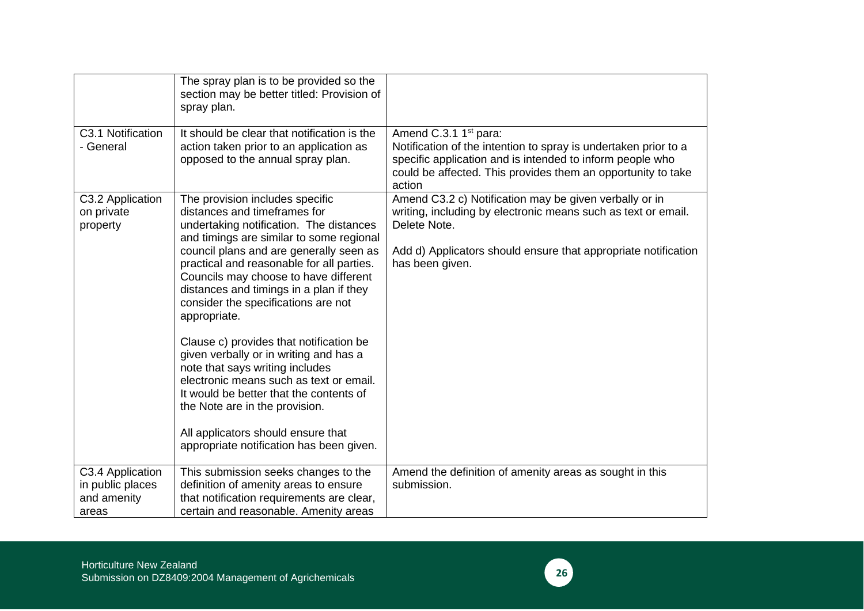| C3.1 Notification                                            | The spray plan is to be provided so the<br>section may be better titled: Provision of<br>spray plan.<br>It should be clear that notification is the                                                                                                                                                                                                                                                                                                                                                                                                                                                                                                                                                                         | Amend C.3.1 1 <sup>st</sup> para:                                                                                                                                                                                            |
|--------------------------------------------------------------|-----------------------------------------------------------------------------------------------------------------------------------------------------------------------------------------------------------------------------------------------------------------------------------------------------------------------------------------------------------------------------------------------------------------------------------------------------------------------------------------------------------------------------------------------------------------------------------------------------------------------------------------------------------------------------------------------------------------------------|------------------------------------------------------------------------------------------------------------------------------------------------------------------------------------------------------------------------------|
| - General                                                    | action taken prior to an application as<br>opposed to the annual spray plan.                                                                                                                                                                                                                                                                                                                                                                                                                                                                                                                                                                                                                                                | Notification of the intention to spray is undertaken prior to a<br>specific application and is intended to inform people who<br>could be affected. This provides them an opportunity to take<br>action                       |
| C3.2 Application<br>on private<br>property                   | The provision includes specific<br>distances and timeframes for<br>undertaking notification. The distances<br>and timings are similar to some regional<br>council plans and are generally seen as<br>practical and reasonable for all parties.<br>Councils may choose to have different<br>distances and timings in a plan if they<br>consider the specifications are not<br>appropriate.<br>Clause c) provides that notification be<br>given verbally or in writing and has a<br>note that says writing includes<br>electronic means such as text or email.<br>It would be better that the contents of<br>the Note are in the provision.<br>All applicators should ensure that<br>appropriate notification has been given. | Amend C3.2 c) Notification may be given verbally or in<br>writing, including by electronic means such as text or email.<br>Delete Note.<br>Add d) Applicators should ensure that appropriate notification<br>has been given. |
| C3.4 Application<br>in public places<br>and amenity<br>areas | This submission seeks changes to the<br>definition of amenity areas to ensure<br>that notification requirements are clear,<br>certain and reasonable. Amenity areas                                                                                                                                                                                                                                                                                                                                                                                                                                                                                                                                                         | Amend the definition of amenity areas as sought in this<br>submission.                                                                                                                                                       |

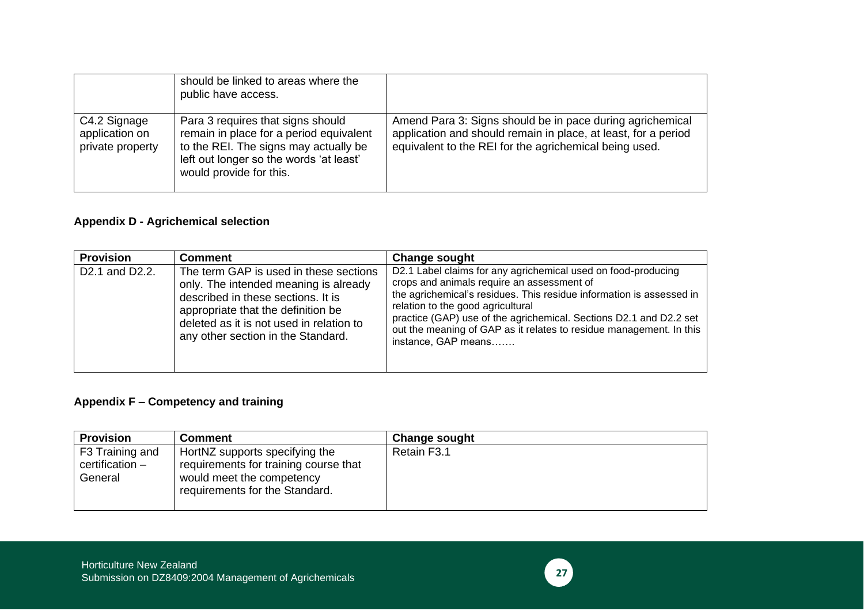|                                                    | should be linked to areas where the<br>public have access.                                                                                                                                  |                                                                                                                                                                                       |
|----------------------------------------------------|---------------------------------------------------------------------------------------------------------------------------------------------------------------------------------------------|---------------------------------------------------------------------------------------------------------------------------------------------------------------------------------------|
| C4.2 Signage<br>application on<br>private property | Para 3 requires that signs should<br>remain in place for a period equivalent<br>to the REI. The signs may actually be<br>left out longer so the words 'at least'<br>would provide for this. | Amend Para 3: Signs should be in pace during agrichemical<br>application and should remain in place, at least, for a period<br>equivalent to the REI for the agrichemical being used. |

## **Appendix D - Agrichemical selection**

| <b>Provision</b>                         | <b>Comment</b>                                                                                                                                                                                                                                | <b>Change sought</b>                                                                                                                                                                                                                                                                                                                                                                         |
|------------------------------------------|-----------------------------------------------------------------------------------------------------------------------------------------------------------------------------------------------------------------------------------------------|----------------------------------------------------------------------------------------------------------------------------------------------------------------------------------------------------------------------------------------------------------------------------------------------------------------------------------------------------------------------------------------------|
| D <sub>2</sub> .1 and D <sub>2</sub> .2. | The term GAP is used in these sections<br>only. The intended meaning is already<br>described in these sections. It is<br>appropriate that the definition be<br>deleted as it is not used in relation to<br>any other section in the Standard. | D2.1 Label claims for any agrichemical used on food-producing<br>crops and animals require an assessment of<br>the agrichemical's residues. This residue information is assessed in<br>relation to the good agricultural<br>practice (GAP) use of the agrichemical. Sections D2.1 and D2.2 set<br>out the meaning of GAP as it relates to residue management. In this<br>instance, GAP means |

## **Appendix F – Competency and training**

| <b>Provision</b>                              | <b>Comment</b>                                                                                                                         | <b>Change sought</b> |
|-----------------------------------------------|----------------------------------------------------------------------------------------------------------------------------------------|----------------------|
| F3 Training and<br>certification -<br>General | HortNZ supports specifying the<br>requirements for training course that<br>would meet the competency<br>requirements for the Standard. | Retain F3.1          |

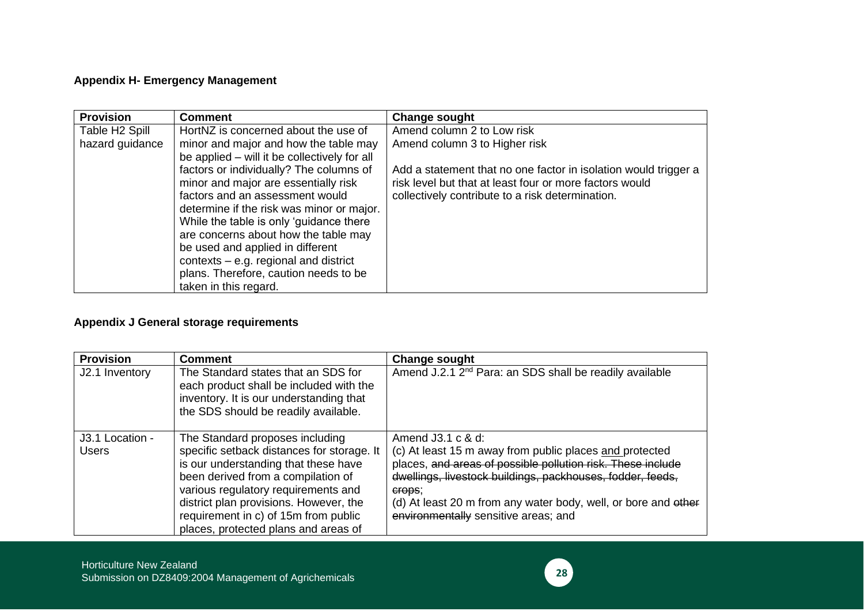## **Appendix H- Emergency Management**

| <b>Provision</b>           | <b>Comment</b>                               | <b>Change sought</b>                                            |
|----------------------------|----------------------------------------------|-----------------------------------------------------------------|
| Table H <sub>2</sub> Spill | HortNZ is concerned about the use of         | Amend column 2 to Low risk                                      |
| hazard guidance            | minor and major and how the table may        | Amend column 3 to Higher risk                                   |
|                            | be applied – will it be collectively for all |                                                                 |
|                            | factors or individually? The columns of      | Add a statement that no one factor in isolation would trigger a |
|                            | minor and major are essentially risk         | risk level but that at least four or more factors would         |
|                            | factors and an assessment would              | collectively contribute to a risk determination.                |
|                            | determine if the risk was minor or major.    |                                                                 |
|                            | While the table is only 'guidance there      |                                                                 |
|                            | are concerns about how the table may         |                                                                 |
|                            | be used and applied in different             |                                                                 |
|                            | contexts $-$ e.g. regional and district      |                                                                 |
|                            | plans. Therefore, caution needs to be        |                                                                 |
|                            | taken in this regard.                        |                                                                 |

## **Appendix J General storage requirements**

| <b>Provision</b>                | <b>Comment</b>                                                                                                                                                                                                                                                                                                               | <b>Change sought</b>                                                                                                                                                                                                                                                                                                             |
|---------------------------------|------------------------------------------------------------------------------------------------------------------------------------------------------------------------------------------------------------------------------------------------------------------------------------------------------------------------------|----------------------------------------------------------------------------------------------------------------------------------------------------------------------------------------------------------------------------------------------------------------------------------------------------------------------------------|
| J2.1 Inventory                  | The Standard states that an SDS for<br>each product shall be included with the<br>inventory. It is our understanding that<br>the SDS should be readily available.                                                                                                                                                            | Amend J.2.1 2 <sup>nd</sup> Para: an SDS shall be readily available                                                                                                                                                                                                                                                              |
| J3.1 Location -<br><b>Users</b> | The Standard proposes including<br>specific setback distances for storage. It<br>is our understanding that these have<br>been derived from a compilation of<br>various regulatory requirements and<br>district plan provisions. However, the<br>requirement in c) of 15m from public<br>places, protected plans and areas of | Amend $J3.1 c & d$ :<br>(c) At least 15 m away from public places and protected<br>places, and areas of possible pollution risk. These include<br>dwellings, livestock buildings, packhouses, fodder, feeds,<br>erops;<br>(d) At least 20 m from any water body, well, or bore and other<br>environmentally sensitive areas; and |